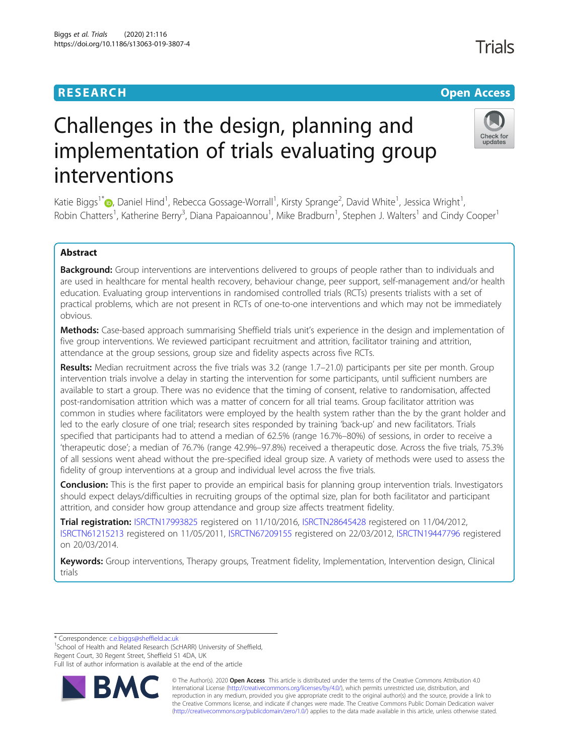# **RESEARCH CHE Open Access**

# Challenges in the design, planning and implementation of trials evaluating group interventions

Katie Biggs<sup>1[\\*](http://orcid.org/0000-0003-4468-7417)</sup>�, Daniel Hind<sup>1</sup>, Rebecca Gossage-Worrall<sup>1</sup>, Kirsty Sprange<sup>2</sup>, David White<sup>1</sup>, Jessica Wright<sup>1</sup> , Robin Chatters<sup>1</sup>, Katherine Berry<sup>3</sup>, Diana Papaioannou<sup>1</sup>, Mike Bradburn<sup>1</sup>, Stephen J. Walters<sup>1</sup> and Cindy Cooper<sup>1</sup>

# Abstract

Background: Group interventions are interventions delivered to groups of people rather than to individuals and are used in healthcare for mental health recovery, behaviour change, peer support, self-management and/or health education. Evaluating group interventions in randomised controlled trials (RCTs) presents trialists with a set of practical problems, which are not present in RCTs of one-to-one interventions and which may not be immediately obvious.

Methods: Case-based approach summarising Sheffield trials unit's experience in the design and implementation of five group interventions. We reviewed participant recruitment and attrition, facilitator training and attrition, attendance at the group sessions, group size and fidelity aspects across five RCTs.

Results: Median recruitment across the five trials was 3.2 (range 1.7-21.0) participants per site per month. Group intervention trials involve a delay in starting the intervention for some participants, until sufficient numbers are available to start a group. There was no evidence that the timing of consent, relative to randomisation, affected post-randomisation attrition which was a matter of concern for all trial teams. Group facilitator attrition was common in studies where facilitators were employed by the health system rather than the by the grant holder and led to the early closure of one trial; research sites responded by training 'back-up' and new facilitators. Trials specified that participants had to attend a median of 62.5% (range 16.7%–80%) of sessions, in order to receive a 'therapeutic dose'; a median of 76.7% (range 42.9%–97.8%) received a therapeutic dose. Across the five trials, 75.3% of all sessions went ahead without the pre-specified ideal group size. A variety of methods were used to assess the fidelity of group interventions at a group and individual level across the five trials.

**Conclusion:** This is the first paper to provide an empirical basis for planning group intervention trials. Investigators should expect delays/difficulties in recruiting groups of the optimal size, plan for both facilitator and participant attrition, and consider how group attendance and group size affects treatment fidelity.

Trial registration: [ISRCTN17993825](https://doi.org/10.1186/ISRCTN17993825) registered on 11/10/2016, [ISRCTN28645428](https://doi.org/10.1186/ISRCTN28645428) registered on 11/04/2012, [ISRCTN61215213](https://doi.org/10.1186/ISRCTN61215213) registered on 11/05/2011, [ISRCTN67209155](https://doi.org/10.1186/ISRCTN67209155) registered on 22/03/2012, [ISRCTN19447796](https://doi.org/10.1186/ISRCTN19447796) registered on 20/03/2014.

Keywords: Group interventions, Therapy groups, Treatment fidelity, Implementation, Intervention design, Clinical trials

\* Correspondence: [c.e.biggs@sheffield.ac.uk](mailto:c.e.biggs@sheffield.ac.uk) <sup>1</sup>

<sup>1</sup>School of Health and Related Research (ScHARR) University of Sheffield, Regent Court, 30 Regent Street, Sheffield S1 4DA, UK

Full list of author information is available at the end of the article



© The Author(s). 2020 Open Access This article is distributed under the terms of the Creative Commons Attribution 4.0 International License [\(http://creativecommons.org/licenses/by/4.0/](http://creativecommons.org/licenses/by/4.0/)), which permits unrestricted use, distribution, and reproduction in any medium, provided you give appropriate credit to the original author(s) and the source, provide a link to the Creative Commons license, and indicate if changes were made. The Creative Commons Public Domain Dedication waiver [\(http://creativecommons.org/publicdomain/zero/1.0/](http://creativecommons.org/publicdomain/zero/1.0/)) applies to the data made available in this article, unless otherwise stated.

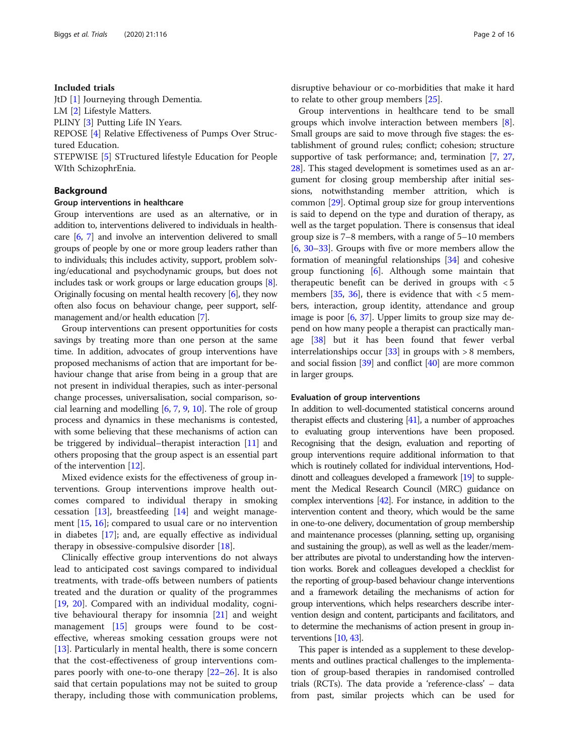#### Included trials

JtD [\[1](#page-13-0)] Journeying through Dementia.

LM [[2\]](#page-13-0) Lifestyle Matters.

PLINY [\[3](#page-13-0)] Putting Life IN Years.

REPOSE [[4\]](#page-13-0) Relative Effectiveness of Pumps Over Structured Education.

STEPWISE [[5\]](#page-13-0) STructured lifestyle Education for People WIth SchizophrEnia.

# Background

#### Group interventions in healthcare

Group interventions are used as an alternative, or in addition to, interventions delivered to individuals in healthcare [\[6,](#page-14-0) [7](#page-14-0)] and involve an intervention delivered to small groups of people by one or more group leaders rather than to individuals; this includes activity, support, problem solving/educational and psychodynamic groups, but does not includes task or work groups or large education groups [[8](#page-14-0)]. Originally focusing on mental health recovery [[6\]](#page-14-0), they now often also focus on behaviour change, peer support, selfmanagement and/or health education [[7](#page-14-0)].

Group interventions can present opportunities for costs savings by treating more than one person at the same time. In addition, advocates of group interventions have proposed mechanisms of action that are important for behaviour change that arise from being in a group that are not present in individual therapies, such as inter-personal change processes, universalisation, social comparison, social learning and modelling  $[6, 7, 9, 10]$  $[6, 7, 9, 10]$  $[6, 7, 9, 10]$  $[6, 7, 9, 10]$  $[6, 7, 9, 10]$  $[6, 7, 9, 10]$  $[6, 7, 9, 10]$ . The role of group process and dynamics in these mechanisms is contested, with some believing that these mechanisms of action can be triggered by individual–therapist interaction [[11](#page-14-0)] and others proposing that the group aspect is an essential part of the intervention [[12](#page-14-0)].

Mixed evidence exists for the effectiveness of group interventions. Group interventions improve health outcomes compared to individual therapy in smoking cessation [\[13\]](#page-14-0), breastfeeding [[14\]](#page-14-0) and weight management [[15,](#page-14-0) [16\]](#page-14-0); compared to usual care or no intervention in diabetes [\[17](#page-14-0)]; and, are equally effective as individual therapy in obsessive-compulsive disorder [[18\]](#page-14-0).

Clinically effective group interventions do not always lead to anticipated cost savings compared to individual treatments, with trade-offs between numbers of patients treated and the duration or quality of the programmes [[19,](#page-14-0) [20\]](#page-14-0). Compared with an individual modality, cognitive behavioural therapy for insomnia [[21\]](#page-14-0) and weight management [[15](#page-14-0)] groups were found to be costeffective, whereas smoking cessation groups were not [[13\]](#page-14-0). Particularly in mental health, there is some concern that the cost-effectiveness of group interventions compares poorly with one-to-one therapy [[22](#page-14-0)–[26](#page-14-0)]. It is also said that certain populations may not be suited to group therapy, including those with communication problems, disruptive behaviour or co-morbidities that make it hard to relate to other group members [\[25\]](#page-14-0).

Group interventions in healthcare tend to be small groups which involve interaction between members [[8](#page-14-0)]. Small groups are said to move through five stages: the establishment of ground rules; conflict; cohesion; structure supportive of task performance; and, termination [[7](#page-14-0), [27](#page-14-0), [28](#page-14-0)]. This staged development is sometimes used as an argument for closing group membership after initial sessions, notwithstanding member attrition, which is common [[29](#page-14-0)]. Optimal group size for group interventions is said to depend on the type and duration of therapy, as well as the target population. There is consensus that ideal group size is 7–8 members, with a range of 5–10 members [[6,](#page-14-0) [30](#page-14-0)–[33](#page-14-0)]. Groups with five or more members allow the formation of meaningful relationships [[34](#page-14-0)] and cohesive group functioning  $[6]$ . Although some maintain that therapeutic benefit can be derived in groups with < 5 members  $[35, 36]$  $[35, 36]$  $[35, 36]$  $[35, 36]$ , there is evidence that with  $\lt 5$  members, interaction, group identity, attendance and group image is poor [[6](#page-14-0), [37](#page-14-0)]. Upper limits to group size may depend on how many people a therapist can practically man-age [[38](#page-14-0)] but it has been found that fewer verbal interrelationships occur  $[33]$  in groups with  $> 8$  members, and social fission [\[39\]](#page-14-0) and conflict [\[40\]](#page-14-0) are more common in larger groups.

#### Evaluation of group interventions

In addition to well-documented statistical concerns around therapist effects and clustering [[41\]](#page-14-0), a number of approaches to evaluating group interventions have been proposed. Recognising that the design, evaluation and reporting of group interventions require additional information to that which is routinely collated for individual interventions, Hoddinott and colleagues developed a framework [[19\]](#page-14-0) to supplement the Medical Research Council (MRC) guidance on complex interventions [\[42\]](#page-14-0). For instance, in addition to the intervention content and theory, which would be the same in one-to-one delivery, documentation of group membership and maintenance processes (planning, setting up, organising and sustaining the group), as well as well as the leader/member attributes are pivotal to understanding how the intervention works. Borek and colleagues developed a checklist for the reporting of group-based behaviour change interventions and a framework detailing the mechanisms of action for group interventions, which helps researchers describe intervention design and content, participants and facilitators, and to determine the mechanisms of action present in group interventions [[10,](#page-14-0) [43\]](#page-14-0).

This paper is intended as a supplement to these developments and outlines practical challenges to the implementation of group-based therapies in randomised controlled trials (RCTs). The data provide a 'reference-class' – data from past, similar projects which can be used for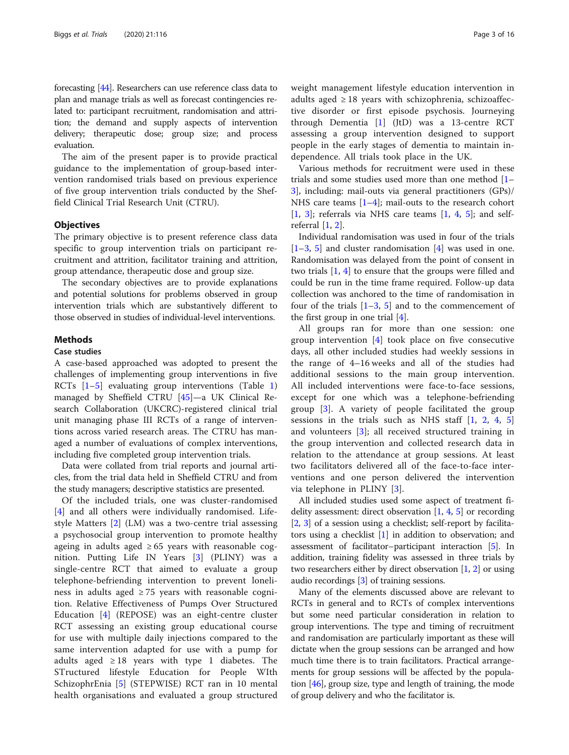forecasting [\[44](#page-14-0)]. Researchers can use reference class data to plan and manage trials as well as forecast contingencies related to: participant recruitment, randomisation and attrition; the demand and supply aspects of intervention delivery; therapeutic dose; group size; and process evaluation.

The aim of the present paper is to provide practical guidance to the implementation of group-based intervention randomised trials based on previous experience of five group intervention trials conducted by the Sheffield Clinical Trial Research Unit (CTRU).

#### **Objectives**

The primary objective is to present reference class data specific to group intervention trials on participant recruitment and attrition, facilitator training and attrition, group attendance, therapeutic dose and group size.

The secondary objectives are to provide explanations and potential solutions for problems observed in group intervention trials which are substantively different to those observed in studies of individual-level interventions.

#### Methods

#### Case studies

A case-based approached was adopted to present the challenges of implementing group interventions in five RCTs  $[1-5]$  $[1-5]$  $[1-5]$  $[1-5]$  evaluating group interventions (Table 1) managed by Sheffield CTRU [\[45\]](#page-14-0)—a UK Clinical Research Collaboration (UKCRC)-registered clinical trial unit managing phase III RCTs of a range of interventions across varied research areas. The CTRU has managed a number of evaluations of complex interventions, including five completed group intervention trials.

Data were collated from trial reports and journal articles, from the trial data held in Sheffield CTRU and from the study managers; descriptive statistics are presented.

Of the included trials, one was cluster-randomised [[4\]](#page-13-0) and all others were individually randomised. Lifestyle Matters [[2\]](#page-13-0) (LM) was a two-centre trial assessing a psychosocial group intervention to promote healthy ageing in adults aged  $\geq 65$  years with reasonable cognition. Putting Life IN Years [[3\]](#page-13-0) (PLINY) was a single-centre RCT that aimed to evaluate a group telephone-befriending intervention to prevent loneliness in adults aged  $\geq$  75 years with reasonable cognition. Relative Effectiveness of Pumps Over Structured Education [[4\]](#page-13-0) (REPOSE) was an eight-centre cluster RCT assessing an existing group educational course for use with multiple daily injections compared to the same intervention adapted for use with a pump for adults aged  $\geq 18$  years with type 1 diabetes. The STructured lifestyle Education for People WIth SchizophrEnia [[5](#page-13-0)] (STEPWISE) RCT ran in 10 mental health organisations and evaluated a group structured

weight management lifestyle education intervention in adults aged  $\geq 18$  years with schizophrenia, schizoaffective disorder or first episode psychosis. Journeying through Dementia [[1\]](#page-13-0) (JtD) was a 13-centre RCT assessing a group intervention designed to support people in the early stages of dementia to maintain independence. All trials took place in the UK.

Various methods for recruitment were used in these trials and some studies used more than one method [[1](#page-13-0)– [3\]](#page-13-0), including: mail-outs via general practitioners (GPs)/ NHS care teams  $[1-4]$  $[1-4]$  $[1-4]$  $[1-4]$ ; mail-outs to the research cohort  $[1, 3]$  $[1, 3]$  $[1, 3]$  $[1, 3]$  $[1, 3]$ ; referrals via NHS care teams  $[1, 4, 5]$  $[1, 4, 5]$  $[1, 4, 5]$  $[1, 4, 5]$  $[1, 4, 5]$  $[1, 4, 5]$  $[1, 4, 5]$ ; and selfreferral  $[1, 2]$  $[1, 2]$  $[1, 2]$  $[1, 2]$ .

Individual randomisation was used in four of the trials  $[1-3, 5]$  $[1-3, 5]$  $[1-3, 5]$  $[1-3, 5]$  $[1-3, 5]$  $[1-3, 5]$  $[1-3, 5]$  and cluster randomisation  $[4]$  $[4]$  was used in one. Randomisation was delayed from the point of consent in two trials [\[1](#page-13-0), [4](#page-13-0)] to ensure that the groups were filled and could be run in the time frame required. Follow-up data collection was anchored to the time of randomisation in four of the trials  $[1-3, 5]$  $[1-3, 5]$  $[1-3, 5]$  $[1-3, 5]$  $[1-3, 5]$  $[1-3, 5]$  $[1-3, 5]$  and to the commencement of the first group in one trial  $[4]$  $[4]$ .

All groups ran for more than one session: one group intervention [[4\]](#page-13-0) took place on five consecutive days, all other included studies had weekly sessions in the range of 4–16 weeks and all of the studies had additional sessions to the main group intervention. All included interventions were face-to-face sessions, except for one which was a telephone-befriending group [\[3](#page-13-0)]. A variety of people facilitated the group sessions in the trials such as NHS staff [\[1](#page-13-0), [2](#page-13-0), [4,](#page-13-0) [5](#page-13-0)] and volunteers [\[3](#page-13-0)]; all received structured training in the group intervention and collected research data in relation to the attendance at group sessions. At least two facilitators delivered all of the face-to-face interventions and one person delivered the intervention via telephone in PLINY [[3\]](#page-13-0).

All included studies used some aspect of treatment fidelity assessment: direct observation  $[1, 4, 5]$  $[1, 4, 5]$  $[1, 4, 5]$  $[1, 4, 5]$  $[1, 4, 5]$  $[1, 4, 5]$  or recording [[2,](#page-13-0) [3\]](#page-13-0) of a session using a checklist; self-report by facilitators using a checklist [\[1\]](#page-13-0) in addition to observation; and assessment of facilitator–participant interaction [\[5\]](#page-13-0). In addition, training fidelity was assessed in three trials by two researchers either by direct observation  $[1, 2]$  $[1, 2]$  $[1, 2]$  $[1, 2]$  or using audio recordings [\[3](#page-13-0)] of training sessions.

Many of the elements discussed above are relevant to RCTs in general and to RCTs of complex interventions but some need particular consideration in relation to group interventions. The type and timing of recruitment and randomisation are particularly important as these will dictate when the group sessions can be arranged and how much time there is to train facilitators. Practical arrangements for group sessions will be affected by the population [\[46](#page-14-0)], group size, type and length of training, the mode of group delivery and who the facilitator is.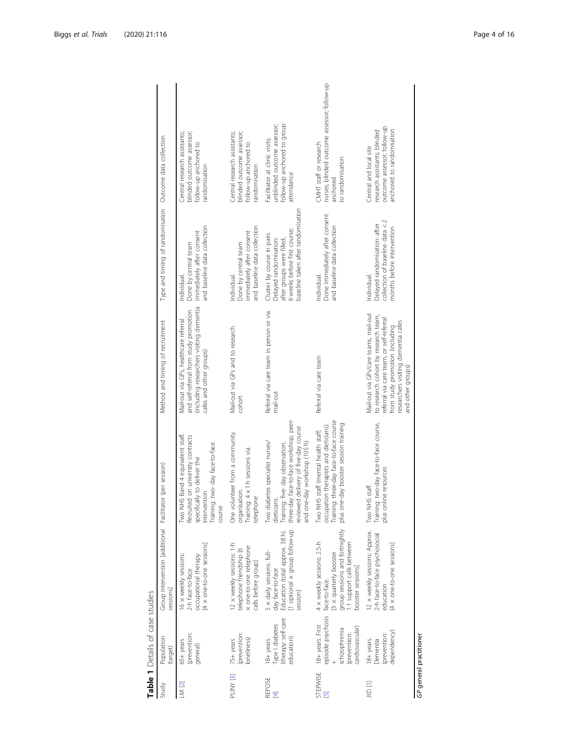<span id="page-3-0"></span>

|               | $\blacksquare$ and $\blacksquare$ $\blacksquare$ $\blacksquare$ $\blacksquare$ $\blacksquare$ $\blacksquare$ $\blacksquare$ $\blacksquare$ $\blacksquare$ $\blacksquare$ $\blacksquare$ |                                                                                                                                                         |                                                                                                                                                                                                     |                                                                                                                                                                                                                          |                                                                                                                                                          |                                                                                                                    |
|---------------|-----------------------------------------------------------------------------------------------------------------------------------------------------------------------------------------|---------------------------------------------------------------------------------------------------------------------------------------------------------|-----------------------------------------------------------------------------------------------------------------------------------------------------------------------------------------------------|--------------------------------------------------------------------------------------------------------------------------------------------------------------------------------------------------------------------------|----------------------------------------------------------------------------------------------------------------------------------------------------------|--------------------------------------------------------------------------------------------------------------------|
| Study         | Population<br>(target)                                                                                                                                                                  | Group intervention [additional Facilitator (per session)<br>sessions]                                                                                   |                                                                                                                                                                                                     | Method and timing of recruitment                                                                                                                                                                                         | Type and timing of randomisation Outcome data collection                                                                                                 |                                                                                                                    |
| $LN$ [2]      | (prevention:<br>65+ years<br>general)                                                                                                                                                   | 4 x one-to-one sessions]<br>16 x weekly sessions:<br>occupational therapy<br>2-h face-to-face                                                           | Two NHS Band 4 equivalent staff.<br>Recruited on university contracts<br>Training: two-day face-to-face<br>specifically to deliver the<br>intervention<br>course                                    | (including researchers visiting dementia<br>and self-referral from study promotion<br>Mail-out via GPs, healthcare referral<br>cafes and other groups)                                                                   | and baseline data collection<br>immediately after consent<br>Done by central team<br>Individual.                                                         | blinded outcome assessor;<br>Central research assistants;<br>follow-up anchored to<br>randomisation                |
| PLINY [3]     | prevention:<br>loneliness)<br>75+ years                                                                                                                                                 | 2 x weekly sessions: 1-h<br>x one-to-one telephone<br>telephone friendship [6<br>calls before group]                                                    | One volunteer from a community<br>Training: 4 x 1 h sessions via<br>organisation.<br>telephone                                                                                                      | Mail-out via GPs and to research<br>cohort                                                                                                                                                                               | and baseline data collection<br>immediately after consent<br>Done by central team<br>Individual.                                                         | blinded outcome assessor;<br>Central research assistants;<br>follow-up anchored to<br>randomisation                |
| REPOSE<br>国   | (therapy: self-care<br>Type I diabetes<br>education)<br>18+ years.                                                                                                                      | 1 optional x group follow-up<br>Education (total approx. 38 h).<br>5 x daily sessions: full-<br>day face-to-face<br>session                             | three-day face-to-face workshop, peer-<br>reviewed delivery of five-day course<br>Two diabetes specialist nurses/<br>and one-day workshop (105 h)<br>Training: five-day observation,<br>dieticians. | Referral via care team in person or via<br>mail-out                                                                                                                                                                      | baseline taken after randomisation<br>6 weeks before first course;<br>Cluster by course in pairs.<br>after groups were filled,<br>Delayed randomisation: | follow-up anchored to group<br>unblinded outcome assessor;<br>Facilitator at clinic visits;<br>attendance          |
| STEPWISE<br>Ø | episode psychosis<br>18+ years. First<br>cardiovascular<br>schizophrenia<br>prevention:                                                                                                 | group sessions and fortnightly<br>4 x weekly sessions: 2.5-h<br>:1 support calls between<br>3 x quarterly booster<br>booster sessions]<br>face-to-face. | Training: three-day face-to-face course<br>plus one-day booster session training<br>occupation therapists and dieticians).<br>Two NHS staff (mental health staff;                                   | Referral via care team                                                                                                                                                                                                   | Done immediately after consent<br>and baseline data collection<br>Individual.                                                                            | nurses; blinded outcome assessor; follow-up<br>CMHT staff or research<br>to randomisation<br>anchored              |
| [I] Off       | dependency)<br>(prevention:<br>18+ years.<br>Dementia                                                                                                                                   | 12 x weekly sessions: Approx.<br>2-h face-to-face psychosocial<br>4 × one-to-one sessions<br>education                                                  | Training: two-day face-to-face course,<br>plus online resources<br>Two NHS staff.                                                                                                                   | Mail-out via GPs/care teams, mail-out<br>to research cohort by research team,<br>referral via care team, or self-referral<br>researchers visiting dementia cafes<br>from study promotion (including<br>and other groups) | collection of baseline data < 2<br>Delayed randomisation: after<br>months before intervention<br>Individual.                                             | outcome assessor; follow-up<br>anchored to randomisation<br>research assistants; blinded<br>Central and local site |

Table 1 Details of case studies

GP general practitioner GP general practitioner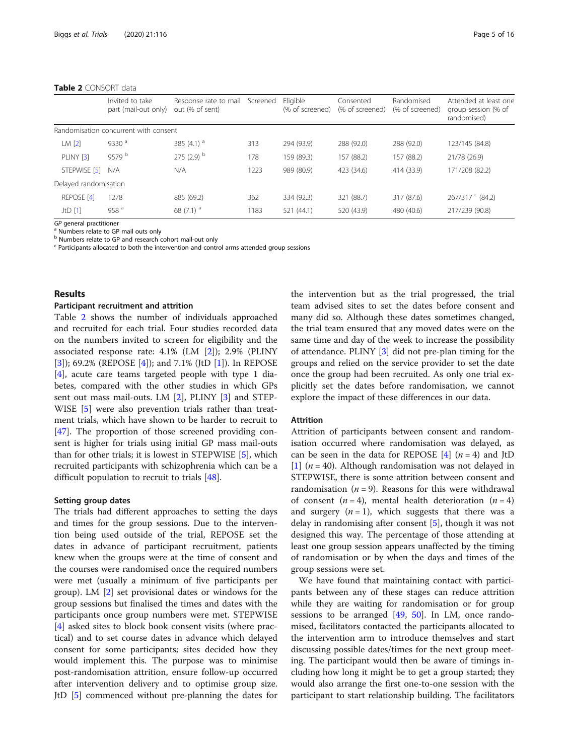#### Table 2 CONSORT data

|                       | Invited to take<br>part (mail-out only) | Response rate to mail<br>out (% of sent) | Screened | Eligible<br>(% of screened) | Consented<br>(% of screened) | Randomised<br>(% of screened) | Attended at least one<br>group session (% of<br>randomised) |
|-----------------------|-----------------------------------------|------------------------------------------|----------|-----------------------------|------------------------------|-------------------------------|-------------------------------------------------------------|
|                       | Randomisation concurrent with consent   |                                          |          |                             |                              |                               |                                                             |
| LM <sub>[2]</sub>     | 9330 $a$                                | 385 $(4.1)$ <sup>a</sup>                 | 313      | 294 (93.9)                  | 288 (92.0)                   | 288 (92.0)                    | 123/145 (84.8)                                              |
| PLINY [3]             | 9579 b                                  | $275(2.9)$ <sup>b</sup>                  | 178      | 159 (89.3)                  | 157 (88.2)                   | 157 (88.2)                    | 21/78 (26.9)                                                |
| STEPWISE [5]          | N/A                                     | N/A                                      | 1223     | 989 (80.9)                  | 423 (34.6)                   | 414 (33.9)                    | 171/208 (82.2)                                              |
| Delayed randomisation |                                         |                                          |          |                             |                              |                               |                                                             |
| REPOSE <sub>[4]</sub> | 1278                                    | 885 (69.2)                               | 362      | 334 (92.3)                  | 321 (88.7)                   | 317 (87.6)                    | $267/317$ $^{c}$ (84.2)                                     |
| JtD[1]                | 958 $a$                                 | 68 $(7.1)^a$                             | 1183     | 521 (44.1)                  | 520 (43.9)                   | 480 (40.6)                    | 217/239 (90.8)                                              |

 $GP$  general practitioner<br><sup>a</sup> Numbers relate to GP mail outs only

b Numbers relate to GP and research cohort mail-out only

 $\texttt{c}$  Participants allocated to both the intervention and control arms attended group sessions

#### Results

#### Participant recruitment and attrition

Table 2 shows the number of individuals approached and recruited for each trial. Four studies recorded data on the numbers invited to screen for eligibility and the associated response rate: 4.1% (LM [[2\]](#page-13-0)); 2.9% (PLINY [[3\]](#page-13-0)); 69.2% (REPOSE [[4\]](#page-13-0)); and 7.1% (JtD [\[1\]](#page-13-0)). In REPOSE [[4\]](#page-13-0), acute care teams targeted people with type 1 diabetes, compared with the other studies in which GPs sent out mass mail-outs. LM [[2\]](#page-13-0), PLINY [[3\]](#page-13-0) and STEP-WISE [[5\]](#page-13-0) were also prevention trials rather than treatment trials, which have shown to be harder to recruit to [[47\]](#page-14-0). The proportion of those screened providing consent is higher for trials using initial GP mass mail-outs than for other trials; it is lowest in STEPWISE [[5\]](#page-13-0), which recruited participants with schizophrenia which can be a difficult population to recruit to trials [[48\]](#page-14-0).

#### Setting group dates

The trials had different approaches to setting the days and times for the group sessions. Due to the intervention being used outside of the trial, REPOSE set the dates in advance of participant recruitment, patients knew when the groups were at the time of consent and the courses were randomised once the required numbers were met (usually a minimum of five participants per group). LM [[2\]](#page-13-0) set provisional dates or windows for the group sessions but finalised the times and dates with the participants once group numbers were met. STEPWISE [[4\]](#page-13-0) asked sites to block book consent visits (where practical) and to set course dates in advance which delayed consent for some participants; sites decided how they would implement this. The purpose was to minimise post-randomisation attrition, ensure follow-up occurred after intervention delivery and to optimise group size. JtD [[5](#page-13-0)] commenced without pre-planning the dates for the intervention but as the trial progressed, the trial team advised sites to set the dates before consent and many did so. Although these dates sometimes changed, the trial team ensured that any moved dates were on the same time and day of the week to increase the possibility of attendance. PLINY [[3\]](#page-13-0) did not pre-plan timing for the groups and relied on the service provider to set the date once the group had been recruited. As only one trial explicitly set the dates before randomisation, we cannot explore the impact of these differences in our data.

#### Attrition

Attrition of participants between consent and randomisation occurred where randomisation was delayed, as can be seen in the data for REPOSE  $[4]$  $[4]$   $(n = 4)$  and JtD [[1\]](#page-13-0)  $(n = 40)$ . Although randomisation was not delayed in STEPWISE, there is some attrition between consent and randomisation ( $n = 9$ ). Reasons for this were withdrawal of consent  $(n = 4)$ , mental health deterioration  $(n = 4)$ and surgery  $(n = 1)$ , which suggests that there was a delay in randomising after consent [[5\]](#page-13-0), though it was not designed this way. The percentage of those attending at least one group session appears unaffected by the timing of randomisation or by when the days and times of the group sessions were set.

We have found that maintaining contact with participants between any of these stages can reduce attrition while they are waiting for randomisation or for group sessions to be arranged  $[49, 50]$  $[49, 50]$  $[49, 50]$  $[49, 50]$ . In LM, once randomised, facilitators contacted the participants allocated to the intervention arm to introduce themselves and start discussing possible dates/times for the next group meeting. The participant would then be aware of timings including how long it might be to get a group started; they would also arrange the first one-to-one session with the participant to start relationship building. The facilitators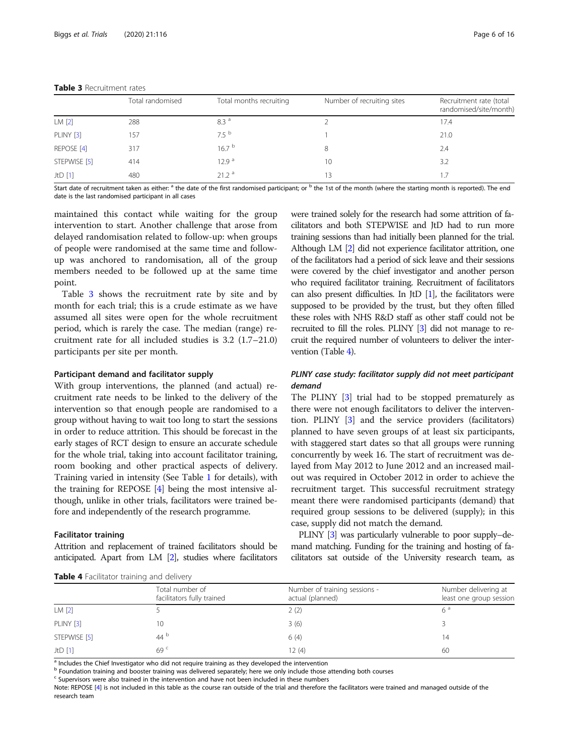|                  | Total randomised | Total months recruiting | Number of recruiting sites | Recruitment rate (total<br>randomised/site/month) |
|------------------|------------------|-------------------------|----------------------------|---------------------------------------------------|
| LM[2]            | 288              | 8.3 <sup>a</sup>        |                            | 17.4                                              |
| <b>PLINY [3]</b> | 157              | 7.5 <sup>b</sup>        |                            | 21.0                                              |
| REPOSE [4]       | 317              | 16.7 <sup>b</sup>       | 8                          | 2.4                                               |
| STEPWISE [5]     | 414              | 12.9 <sup>a</sup>       | 10                         | 3.2                                               |
| $JtD$ [1]        | 480              | 21.2 <sup>a</sup>       | 13                         | 1.7                                               |

### Table 3 Recruitment rates

Start date of recruitment taken as either: <sup>a</sup> the date of the first randomised participant; or <sup>b</sup> the 1st of the month (where the starting month is reported). The end date is the last randomised participant in all cases

maintained this contact while waiting for the group intervention to start. Another challenge that arose from delayed randomisation related to follow-up: when groups of people were randomised at the same time and followup was anchored to randomisation, all of the group members needed to be followed up at the same time point.

Table 3 shows the recruitment rate by site and by month for each trial; this is a crude estimate as we have assumed all sites were open for the whole recruitment period, which is rarely the case. The median (range) recruitment rate for all included studies is 3.2 (1.7–21.0) participants per site per month.

#### Participant demand and facilitator supply

With group interventions, the planned (and actual) recruitment rate needs to be linked to the delivery of the intervention so that enough people are randomised to a group without having to wait too long to start the sessions in order to reduce attrition. This should be forecast in the early stages of RCT design to ensure an accurate schedule for the whole trial, taking into account facilitator training, room booking and other practical aspects of delivery. Training varied in intensity (See Table [1](#page-3-0) for details), with the training for REPOSE [\[4](#page-13-0)] being the most intensive although, unlike in other trials, facilitators were trained before and independently of the research programme.

#### Facilitator training

Attrition and replacement of trained facilitators should be anticipated. Apart from LM [[2](#page-13-0)], studies where facilitators were trained solely for the research had some attrition of facilitators and both STEPWISE and JtD had to run more training sessions than had initially been planned for the trial. Although LM [\[2\]](#page-13-0) did not experience facilitator attrition, one of the facilitators had a period of sick leave and their sessions were covered by the chief investigator and another person who required facilitator training. Recruitment of facilitators can also present difficulties. In JtD  $[1]$ , the facilitators were supposed to be provided by the trust, but they often filled these roles with NHS R&D staff as other staff could not be recruited to fill the roles. PLINY [\[3\]](#page-13-0) did not manage to recruit the required number of volunteers to deliver the intervention (Table 4).

# PLINY case study: facilitator supply did not meet participant demand

The PLINY [\[3\]](#page-13-0) trial had to be stopped prematurely as there were not enough facilitators to deliver the intervention. PLINY [\[3\]](#page-13-0) and the service providers (facilitators) planned to have seven groups of at least six participants, with staggered start dates so that all groups were running concurrently by week 16. The start of recruitment was delayed from May 2012 to June 2012 and an increased mailout was required in October 2012 in order to achieve the recruitment target. This successful recruitment strategy meant there were randomised participants (demand) that required group sessions to be delivered (supply); in this case, supply did not match the demand.

PLINY [\[3](#page-13-0)] was particularly vulnerable to poor supply–demand matching. Funding for the training and hosting of facilitators sat outside of the University research team, as

| Table 4 Facilitator training and delivery |  |  |  |
|-------------------------------------------|--|--|--|
|-------------------------------------------|--|--|--|

| <b>Table +</b> Facilitator training and delivery |                                               |                                                   |                                                 |
|--------------------------------------------------|-----------------------------------------------|---------------------------------------------------|-------------------------------------------------|
|                                                  | Total number of<br>facilitators fully trained | Number of training sessions -<br>actual (planned) | Number delivering at<br>least one group session |
| LM <sub>[2]</sub>                                |                                               | 2(2)                                              | 6 <sup>d</sup>                                  |
| <b>PLINY [3]</b>                                 | 10                                            | 3(6)                                              |                                                 |
| STEPWISE [5]                                     | $44^{\circ}$                                  | 6(4)                                              | 14                                              |
| JtD [1]                                          | 69 <sup>c</sup>                               | 12(4)                                             | 60                                              |

<sup>a</sup> Includes the Chief Investigator who did not require training as they developed the intervention

<sup>b</sup> Foundation training and booster training was delivered separately; here we only include those attending both courses

<sup>c</sup> Supervisors were also trained in the intervention and have not been included in these numbers

Note: REPOSE [\[4\]](#page-13-0) is not included in this table as the course ran outside of the trial and therefore the facilitators were trained and managed outside of the research team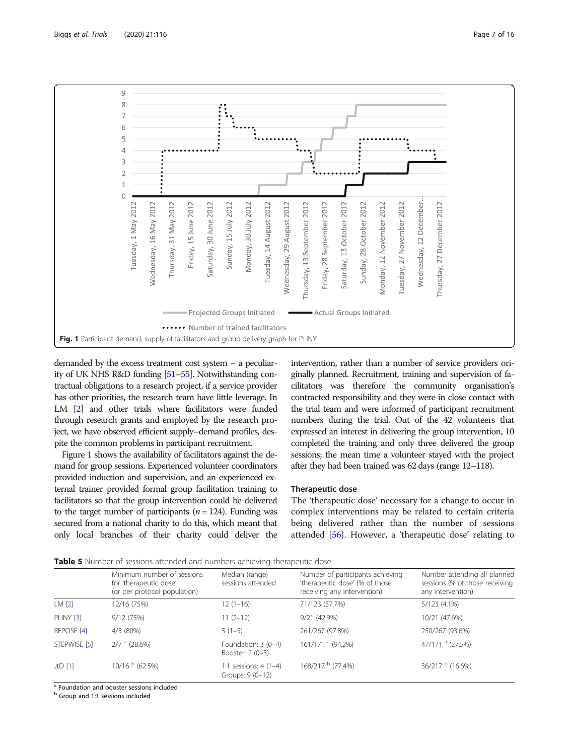<span id="page-6-0"></span>

demanded by the excess treatment cost system – a peculiarity of UK NHS R&D funding [[51](#page-14-0)–[55\]](#page-15-0). Notwithstanding contractual obligations to a research project, if a service provider has other priorities, the research team have little leverage. In LM [\[2](#page-13-0)] and other trials where facilitators were funded through research grants and employed by the research project, we have observed efficient supply–demand profiles, despite the common problems in participant recruitment.

Figure 1 shows the availability of facilitators against the demand for group sessions. Experienced volunteer coordinators provided induction and supervision, and an experienced external trainer provided formal group facilitation training to facilitators so that the group intervention could be delivered to the target number of participants ( $n = 124$ ). Funding was secured from a national charity to do this, which meant that only local branches of their charity could deliver the intervention, rather than a number of service providers originally planned. Recruitment, training and supervision of facilitators was therefore the community organisation's contracted responsibility and they were in close contact with the trial team and were informed of participant recruitment numbers during the trial. Out of the 42 volunteers that expressed an interest in delivering the group intervention, 10 completed the training and only three delivered the group sessions; the mean time a volunteer stayed with the project after they had been trained was 62 days (range 12–118).

#### Therapeutic dose

The 'therapeutic dose' necessary for a change to occur in complex interventions may be related to certain criteria being delivered rather than the number of sessions attended [\[56](#page-15-0)]. However, a 'therapeutic dose' relating to

**Table 5** Number of sessions attended and numbers achieving therapeutic dose

|                      | Minimum number of sessions<br>for 'therapeutic dose'<br>(or per protocol population) | Median (range)<br>sessions attended        | Number of participants achieving<br>'therapeutic dose' (% of those<br>receiving any intervention) | Number attending all planned<br>sessions (% of those receiving<br>any intervention) |
|----------------------|--------------------------------------------------------------------------------------|--------------------------------------------|---------------------------------------------------------------------------------------------------|-------------------------------------------------------------------------------------|
| LM <sub>[2]</sub>    | 12/16 (75%)                                                                          | $12(1-16)$                                 | 71/123 (57.7%)                                                                                    | 5/123 (4.1%)                                                                        |
| PLINY <sub>[3]</sub> | 9/12(75%)                                                                            | $11(2-12)$                                 | 9/21 (42.9%)                                                                                      | 10/21 (47.6%)                                                                       |
| REPOSE [4]           | 4/5(80%)                                                                             | $5(1-5)$                                   | 261/267 (97.8%)                                                                                   | 250/267 (93.6%)                                                                     |
| STEPWISE [5]         | $2/7$ <sup>a</sup> (28.6%)                                                           | Foundation: 3 (0-4)<br>Booster: 2 (0-3)    | 161/171 <sup>a</sup> (94.2%)                                                                      | 47/171 <sup>a</sup> (27.5%)                                                         |
| $JtD$ [1]            | $10/16b$ (62.5%)                                                                     | 1:1 sessions: $4(1-4)$<br>Groups: 9 (0-12) | 168/217 b (77.4%)                                                                                 | $36/217^{b}$ (16.6%)                                                                |

<sup>a</sup> Foundation and booster sessions included

<sup>b</sup> Group and 1:1 sessions included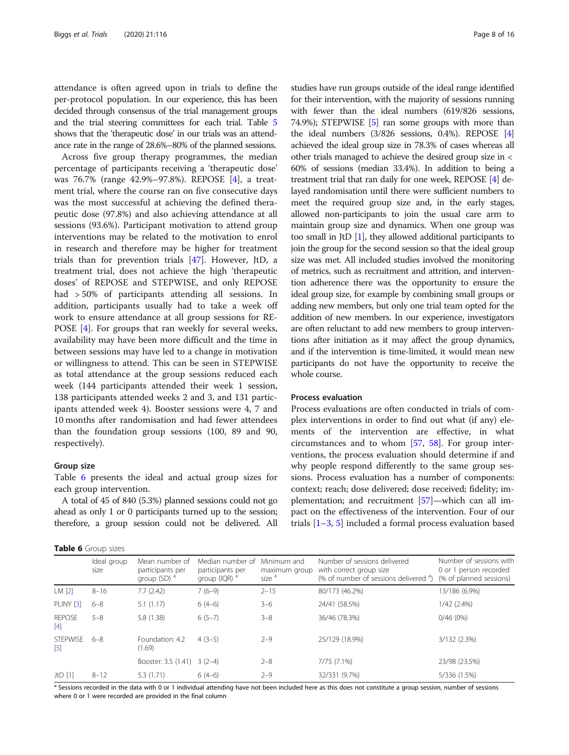<span id="page-7-0"></span>attendance is often agreed upon in trials to define the per-protocol population. In our experience, this has been decided through consensus of the trial management groups and the trial steering committees for each trial. Table [5](#page-6-0) shows that the 'therapeutic dose' in our trials was an attendance rate in the range of 28.6%–80% of the planned sessions.

Across five group therapy programmes, the median percentage of participants receiving a 'therapeutic dose' was 76.7% (range 42.9%–97.8%). REPOSE [\[4](#page-13-0)], a treatment trial, where the course ran on five consecutive days was the most successful at achieving the defined therapeutic dose (97.8%) and also achieving attendance at all sessions (93.6%). Participant motivation to attend group interventions may be related to the motivation to enrol in research and therefore may be higher for treatment trials than for prevention trials [[47\]](#page-14-0). However, JtD, a treatment trial, does not achieve the high 'therapeutic doses' of REPOSE and STEPWISE, and only REPOSE had > 50% of participants attending all sessions. In addition, participants usually had to take a week off work to ensure attendance at all group sessions for RE-POSE [\[4](#page-13-0)]. For groups that ran weekly for several weeks, availability may have been more difficult and the time in between sessions may have led to a change in motivation or willingness to attend. This can be seen in STEPWISE as total attendance at the group sessions reduced each week (144 participants attended their week 1 session, 138 participants attended weeks 2 and 3, and 131 participants attended week 4). Booster sessions were 4, 7 and 10 months after randomisation and had fewer attendees than the foundation group sessions (100, 89 and 90, respectively).

#### Group size

Table 6 presents the ideal and actual group sizes for each group intervention.

A total of 45 of 840 (5.3%) planned sessions could not go ahead as only 1 or 0 participants turned up to the session; therefore, a group session could not be delivered. All

|  |  | Table 6 Group sizes |  |
|--|--|---------------------|--|
|--|--|---------------------|--|

studies have run groups outside of the ideal range identified for their intervention, with the majority of sessions running with fewer than the ideal numbers (619/826 sessions, 74.9%); STEPWISE [\[5\]](#page-13-0) ran some groups with more than the ideal numbers (3/826 sessions, 0.4%). REPOSE [[4](#page-13-0)] achieved the ideal group size in 78.3% of cases whereas all other trials managed to achieve the desired group size in < 60% of sessions (median 33.4%). In addition to being a treatment trial that ran daily for one week, REPOSE [\[4\]](#page-13-0) delayed randomisation until there were sufficient numbers to meet the required group size and, in the early stages, allowed non-participants to join the usual care arm to maintain group size and dynamics. When one group was too small in JtD [\[1\]](#page-13-0), they allowed additional participants to join the group for the second session so that the ideal group size was met. All included studies involved the monitoring of metrics, such as recruitment and attrition, and intervention adherence there was the opportunity to ensure the ideal group size, for example by combining small groups or adding new members, but only one trial team opted for the addition of new members. In our experience, investigators are often reluctant to add new members to group interventions after initiation as it may affect the group dynamics, and if the intervention is time-limited, it would mean new participants do not have the opportunity to receive the whole course.

#### Process evaluation

Process evaluations are often conducted in trials of complex interventions in order to find out what (if any) elements of the intervention are effective, in what circumstances and to whom [[57](#page-15-0), [58\]](#page-15-0). For group interventions, the process evaluation should determine if and why people respond differently to the same group sessions. Process evaluation has a number of components: context; reach; dose delivered; dose received; fidelity; implementation; and recruitment [[57\]](#page-15-0)—which can all impact on the effectiveness of the intervention. Four of our trials  $[1-3, 5]$  $[1-3, 5]$  $[1-3, 5]$  $[1-3, 5]$  $[1-3, 5]$  $[1-3, 5]$  included a formal process evaluation based

|                                      | . <i>.</i>          |                                                               |                                                                  |                                                   |                                                                                                              |                                                                              |
|--------------------------------------|---------------------|---------------------------------------------------------------|------------------------------------------------------------------|---------------------------------------------------|--------------------------------------------------------------------------------------------------------------|------------------------------------------------------------------------------|
|                                      | Ideal group<br>size | Mean number of<br>participants per<br>group (SD) <sup>a</sup> | Median number of<br>participants per<br>group (IQR) <sup>a</sup> | Minimum and<br>maximum group<br>size <sup>a</sup> | Number of sessions delivered<br>with correct group size<br>(% of number of sessions delivered <sup>a</sup> ) | Number of sessions with<br>0 or 1 person recorded<br>(% of planned sessions) |
| LM <sub>[2]</sub>                    | $8 - 16$            | 7.7(2.42)                                                     | $7(6-9)$                                                         | $2 - 15$                                          | 80/173 (46.2%)                                                                                               | 13/186 (6.9%)                                                                |
| PLINY [3]                            | $6 - 8$             | 5.1(1.17)                                                     | $6(4-6)$                                                         | $3 - 6$                                           | 24/41 (58.5%)                                                                                                | 1/42 (2.4%)                                                                  |
| <b>REPOSE</b><br>$\lceil 4 \rceil$   | $5 - 8$             | 5.8 (1.38)                                                    | $6(5-7)$                                                         | $3 - 8$                                           | 36/46 (78.3%)                                                                                                | 0/46(0%)                                                                     |
| <b>STEPWISE</b><br>$\lceil 5 \rceil$ | $6 - 8$             | Foundation: 4.2<br>(1.69)                                     | $4(3-5)$                                                         | $2 - 9$                                           | 25/129 (18.9%)                                                                                               | 3/132 (2.3%)                                                                 |
|                                      |                     | Booster: 3.5 (1.41) 3 (2-4)                                   |                                                                  | $2 - 8$                                           | 7/75 (7.1%)                                                                                                  | 23/98 (23.5%)                                                                |
| $JtD$ [1]                            | $8 - 12$            | 5.3 (1.71)                                                    | $6(4-6)$                                                         | $2 - 9$                                           | 32/331 (9.7%)                                                                                                | 5/336 (1.5%)                                                                 |

a Sessions recorded in the data with 0 or 1 individual attending have not been included here as this does not constitute a group session, number of sessions where 0 or 1 were recorded are provided in the final column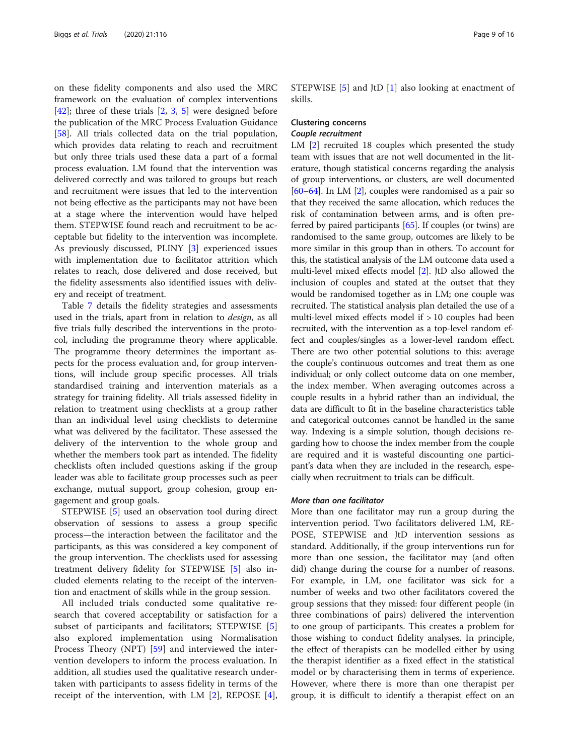on these fidelity components and also used the MRC framework on the evaluation of complex interventions  $[42]$  $[42]$ ; three of these trials  $[2, 3, 5]$  $[2, 3, 5]$  $[2, 3, 5]$  $[2, 3, 5]$  $[2, 3, 5]$  were designed before the publication of the MRC Process Evaluation Guidance [[58\]](#page-15-0). All trials collected data on the trial population, which provides data relating to reach and recruitment but only three trials used these data a part of a formal process evaluation. LM found that the intervention was delivered correctly and was tailored to groups but reach and recruitment were issues that led to the intervention not being effective as the participants may not have been at a stage where the intervention would have helped them. STEPWISE found reach and recruitment to be acceptable but fidelity to the intervention was incomplete. As previously discussed, PLINY [\[3](#page-13-0)] experienced issues with implementation due to facilitator attrition which relates to reach, dose delivered and dose received, but the fidelity assessments also identified issues with delivery and receipt of treatment.

Table [7](#page-9-0) details the fidelity strategies and assessments used in the trials, apart from in relation to design, as all five trials fully described the interventions in the protocol, including the programme theory where applicable. The programme theory determines the important aspects for the process evaluation and, for group interventions, will include group specific processes. All trials standardised training and intervention materials as a strategy for training fidelity. All trials assessed fidelity in relation to treatment using checklists at a group rather than an individual level using checklists to determine what was delivered by the facilitator. These assessed the delivery of the intervention to the whole group and whether the members took part as intended. The fidelity checklists often included questions asking if the group leader was able to facilitate group processes such as peer exchange, mutual support, group cohesion, group engagement and group goals.

STEPWISE [[5\]](#page-13-0) used an observation tool during direct observation of sessions to assess a group specific process—the interaction between the facilitator and the participants, as this was considered a key component of the group intervention. The checklists used for assessing treatment delivery fidelity for STEPWISE [\[5](#page-13-0)] also included elements relating to the receipt of the intervention and enactment of skills while in the group session.

All included trials conducted some qualitative research that covered acceptability or satisfaction for a subset of participants and facilitators; STEPWISE [\[5](#page-13-0)] also explored implementation using Normalisation Process Theory (NPT) [\[59](#page-15-0)] and interviewed the intervention developers to inform the process evaluation. In addition, all studies used the qualitative research undertaken with participants to assess fidelity in terms of the receipt of the intervention, with LM [[2\]](#page-13-0), REPOSE [\[4](#page-13-0)], STEPWISE [\[5](#page-13-0)] and JtD [[1\]](#page-13-0) also looking at enactment of skills.

# Clustering concerns

# Couple recruitment

LM [[2\]](#page-13-0) recruited 18 couples which presented the study team with issues that are not well documented in the literature, though statistical concerns regarding the analysis of group interventions, or clusters, are well documented [[60](#page-15-0)–[64\]](#page-15-0). In LM [[2](#page-13-0)], couples were randomised as a pair so that they received the same allocation, which reduces the risk of contamination between arms, and is often preferred by paired participants [\[65](#page-15-0)]. If couples (or twins) are randomised to the same group, outcomes are likely to be more similar in this group than in others. To account for this, the statistical analysis of the LM outcome data used a multi-level mixed effects model [\[2](#page-13-0)]. JtD also allowed the inclusion of couples and stated at the outset that they would be randomised together as in LM; one couple was recruited. The statistical analysis plan detailed the use of a multi-level mixed effects model if > 10 couples had been recruited, with the intervention as a top-level random effect and couples/singles as a lower-level random effect. There are two other potential solutions to this: average the couple's continuous outcomes and treat them as one individual; or only collect outcome data on one member, the index member. When averaging outcomes across a couple results in a hybrid rather than an individual, the data are difficult to fit in the baseline characteristics table and categorical outcomes cannot be handled in the same way. Indexing is a simple solution, though decisions regarding how to choose the index member from the couple are required and it is wasteful discounting one participant's data when they are included in the research, especially when recruitment to trials can be difficult.

#### More than one facilitator

More than one facilitator may run a group during the intervention period. Two facilitators delivered LM, RE-POSE, STEPWISE and JtD intervention sessions as standard. Additionally, if the group interventions run for more than one session, the facilitator may (and often did) change during the course for a number of reasons. For example, in LM, one facilitator was sick for a number of weeks and two other facilitators covered the group sessions that they missed: four different people (in three combinations of pairs) delivered the intervention to one group of participants. This creates a problem for those wishing to conduct fidelity analyses. In principle, the effect of therapists can be modelled either by using the therapist identifier as a fixed effect in the statistical model or by characterising them in terms of experience. However, where there is more than one therapist per group, it is difficult to identify a therapist effect on an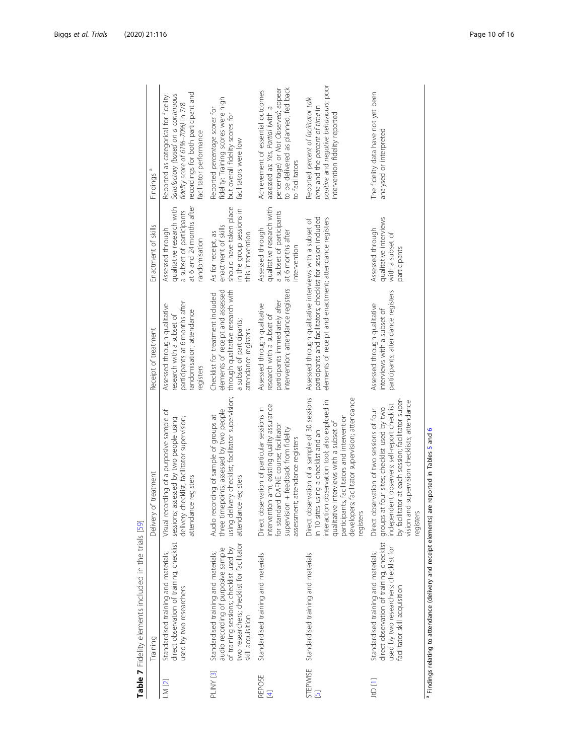<span id="page-9-0"></span>

|                    | Table 7 Fidelity elements included in the trials [59]                                                                                                                                     |                                                                                                                                                                                                                                                                                                       |                                                                                                                                                                                      |                                                                                                                        |                                                                                                                                                                                     |
|--------------------|-------------------------------------------------------------------------------------------------------------------------------------------------------------------------------------------|-------------------------------------------------------------------------------------------------------------------------------------------------------------------------------------------------------------------------------------------------------------------------------------------------------|--------------------------------------------------------------------------------------------------------------------------------------------------------------------------------------|------------------------------------------------------------------------------------------------------------------------|-------------------------------------------------------------------------------------------------------------------------------------------------------------------------------------|
|                    | Training                                                                                                                                                                                  | of treatment<br>Delivery                                                                                                                                                                                                                                                                              | Receipt of treatment                                                                                                                                                                 | Enactment of skills                                                                                                    | Findings <sup>a</sup>                                                                                                                                                               |
| $LN$ [2]           | direct observation of training, checklist<br>Standardised training and materials;<br>used by two researchers                                                                              | Visual recording of a purposive sample of<br>delivery checklist; facilitator supervision;<br>sessions; assessed by two people using<br>attendance registers                                                                                                                                           | participants at 6 months after<br>Assessed through qualitative<br>andomisation; attendance<br>research with a subset of<br>egisters                                                  | at 6 and 24 months after<br>qualitative research with<br>a subset of participants<br>Assessed through<br>randomisation | recordings for both participant and<br>Reported as categorical for fidelity:<br>Satisfactory (based on a continuous<br>fidelity score of 61%-70%) in 7/8<br>facilitator performance |
| PLINY [3]          | two researchers; checklist for facilitator<br>audio recording of purposive sample<br>of training sessions; checklist used by<br>Standardised training and materials;<br>skill acquisition | using delivery checklist; facilitator supervision;<br>three timepoints; assessed by two people<br>Audio recording of sample of groups at<br>attendance registers                                                                                                                                      | through qualitative research with<br>elements of receipt and assessed<br>Checklist for treatment included<br>a subset of participants;<br>attendance registers                       | should have taken place<br>in the group sessions in<br>enactment of skills<br>As for receipt, as<br>this intervention  | fidelity: Training scores were high<br>Reported percentage scores for<br>but overall fidelity scores for<br>facilitators were low                                                   |
| <b>REPOSE</b><br>E | Standardised training and materials                                                                                                                                                       | intervention arm; existing quality assurance<br>Direct observation of particular sessions in<br>for standard DAFNE course; facilitator<br>supervision + feedback from fidelity<br>assessment; attendance registers                                                                                    | intervention; attendance registers<br>participants immediately after<br>Assessed through qualitative<br>research with a subset of                                                    | qualitative research with<br>a subset of participants<br>Assessed through<br>at 6 months after<br>ntervention          | to be delivered as planned; fed back<br>percentage) or Not Observed; appear<br>Achievement of essential outcomes<br>assessed as: Yes, Partial (with a<br>to facilitators            |
| $\overline{5}$     | STEPWISE Standardised training and materials                                                                                                                                              | Direct observation of a sample of 30 sessions<br>developers; facilitator supervision; attendance<br>interaction observation tool; also explored in<br>participants, facilitators and intervention<br>e interviews with a subset of<br>in 10 sites using a checklist and an<br>qualitativ<br>registers | participants and facilitators; checklist for session included<br>elements of receipt and enactment; attendance registers<br>Assessed through qualitative interviews with a subset of |                                                                                                                        | positive and negative behaviours; poor<br>Reported percent of facilitator talk<br>time and the percent of time in<br>intervention fidelity reported                                 |
| 10 [1]             | direct observation of training, checklist<br>used by two researchers; checklist for<br>Standardised training and materials;<br>facilitator skill acquisition                              | vision and supervision checklists; attendance<br>by facilitator at each session; facilitator super-<br>independent observers; self-report checklist<br>groups at four sites; checklist used by two<br>Direct observation of two sessions of four<br>registers                                         | participants; attendance registers<br>Assessed through qualitative<br>interviews with a subset of                                                                                    | qualitative interviews<br>Assessed through<br>with a subset of<br>participants                                         | The fidelity data have not yet been<br>analysed or interpreted                                                                                                                      |
|                    | <sup>a</sup> Findings relating to attendance (delivery and receipt elements) are reported in Tables 5 and 6                                                                               |                                                                                                                                                                                                                                                                                                       |                                                                                                                                                                                      |                                                                                                                        |                                                                                                                                                                                     |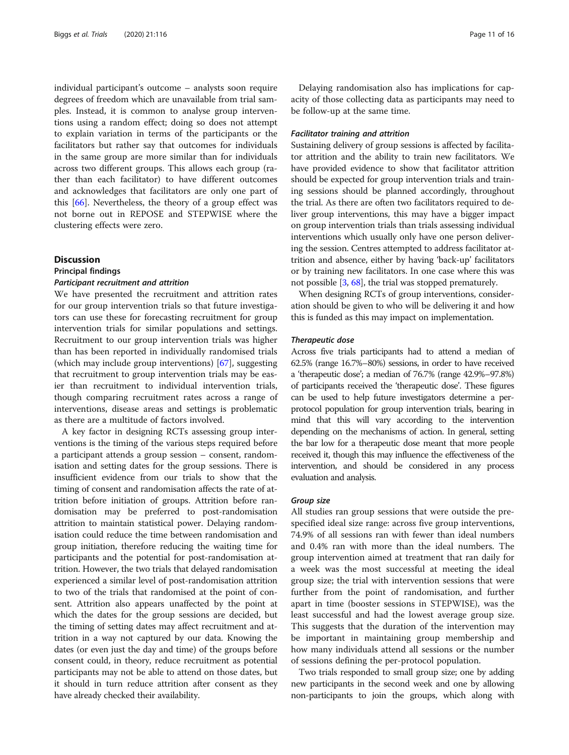individual participant's outcome – analysts soon require degrees of freedom which are unavailable from trial samples. Instead, it is common to analyse group interventions using a random effect; doing so does not attempt to explain variation in terms of the participants or the facilitators but rather say that outcomes for individuals in the same group are more similar than for individuals across two different groups. This allows each group (rather than each facilitator) to have different outcomes and acknowledges that facilitators are only one part of this [[66](#page-15-0)]. Nevertheless, the theory of a group effect was not borne out in REPOSE and STEPWISE where the clustering effects were zero.

#### **Discussion**

#### Principal findings

#### Participant recruitment and attrition

We have presented the recruitment and attrition rates for our group intervention trials so that future investigators can use these for forecasting recruitment for group intervention trials for similar populations and settings. Recruitment to our group intervention trials was higher than has been reported in individually randomised trials (which may include group interventions) [[67\]](#page-15-0), suggesting that recruitment to group intervention trials may be easier than recruitment to individual intervention trials, though comparing recruitment rates across a range of interventions, disease areas and settings is problematic as there are a multitude of factors involved.

A key factor in designing RCTs assessing group interventions is the timing of the various steps required before a participant attends a group session – consent, randomisation and setting dates for the group sessions. There is insufficient evidence from our trials to show that the timing of consent and randomisation affects the rate of attrition before initiation of groups. Attrition before randomisation may be preferred to post-randomisation attrition to maintain statistical power. Delaying randomisation could reduce the time between randomisation and group initiation, therefore reducing the waiting time for participants and the potential for post-randomisation attrition. However, the two trials that delayed randomisation experienced a similar level of post-randomisation attrition to two of the trials that randomised at the point of consent. Attrition also appears unaffected by the point at which the dates for the group sessions are decided, but the timing of setting dates may affect recruitment and attrition in a way not captured by our data. Knowing the dates (or even just the day and time) of the groups before consent could, in theory, reduce recruitment as potential participants may not be able to attend on those dates, but it should in turn reduce attrition after consent as they have already checked their availability.

Delaying randomisation also has implications for capacity of those collecting data as participants may need to be follow-up at the same time.

#### Facilitator training and attrition

Sustaining delivery of group sessions is affected by facilitator attrition and the ability to train new facilitators. We have provided evidence to show that facilitator attrition should be expected for group intervention trials and training sessions should be planned accordingly, throughout the trial. As there are often two facilitators required to deliver group interventions, this may have a bigger impact on group intervention trials than trials assessing individual interventions which usually only have one person delivering the session. Centres attempted to address facilitator attrition and absence, either by having 'back-up' facilitators or by training new facilitators. In one case where this was not possible [\[3](#page-13-0), [68](#page-15-0)], the trial was stopped prematurely.

When designing RCTs of group interventions, consideration should be given to who will be delivering it and how this is funded as this may impact on implementation.

#### Therapeutic dose

Across five trials participants had to attend a median of 62.5% (range 16.7%–80%) sessions, in order to have received a 'therapeutic dose'; a median of 76.7% (range 42.9%–97.8%) of participants received the 'therapeutic dose'. These figures can be used to help future investigators determine a perprotocol population for group intervention trials, bearing in mind that this will vary according to the intervention depending on the mechanisms of action. In general, setting the bar low for a therapeutic dose meant that more people received it, though this may influence the effectiveness of the intervention, and should be considered in any process evaluation and analysis.

#### Group size

All studies ran group sessions that were outside the prespecified ideal size range: across five group interventions, 74.9% of all sessions ran with fewer than ideal numbers and 0.4% ran with more than the ideal numbers. The group intervention aimed at treatment that ran daily for a week was the most successful at meeting the ideal group size; the trial with intervention sessions that were further from the point of randomisation, and further apart in time (booster sessions in STEPWISE), was the least successful and had the lowest average group size. This suggests that the duration of the intervention may be important in maintaining group membership and how many individuals attend all sessions or the number of sessions defining the per-protocol population.

Two trials responded to small group size; one by adding new participants in the second week and one by allowing non-participants to join the groups, which along with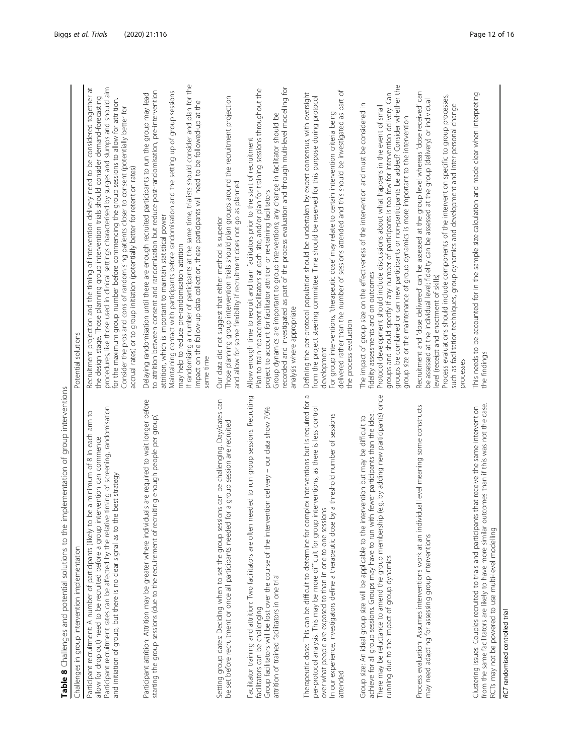<span id="page-11-0"></span>

| Table 8 Challenges and potential solutions to the implementation of group interventions                                                                                                                                                                                                                                                                                                             |                                                                                                                                                                                                                                                                                                                                                                                                                                                                                                                                                                                                                                             |
|-----------------------------------------------------------------------------------------------------------------------------------------------------------------------------------------------------------------------------------------------------------------------------------------------------------------------------------------------------------------------------------------------------|---------------------------------------------------------------------------------------------------------------------------------------------------------------------------------------------------------------------------------------------------------------------------------------------------------------------------------------------------------------------------------------------------------------------------------------------------------------------------------------------------------------------------------------------------------------------------------------------------------------------------------------------|
| Challenges in group intervention implementation                                                                                                                                                                                                                                                                                                                                                     | Potential solutions                                                                                                                                                                                                                                                                                                                                                                                                                                                                                                                                                                                                                         |
| ming of screening, randomisation<br>a minimum of 8 in each arm to<br>vention can commence<br>and initiation of group, but there is no clear signal as to the best strategy<br>Participant recruitment: A number of participants (likely to be<br>allow for drop out) need to be recruited before a group inter<br>Participant recruitment rates can be affected by the relative ti                  | procedures, like those used in clinical settings characterised by surges and slumps and should aim<br>Recruitment projection and the timing of intervention delivery need to be considered together at<br>the design stage. Those planning group intervention trials should consider demand-forecasting<br>for the maximum group number before commencing the group sessions to allow for attrition.<br>Consider the pros and cons of randomising patients closer to consent (potentially better for<br>accrual rates) or to group initiation (potentially better for retention rates)                                                      |
| Participant attrition: Attrition may be greater where individuals are required to wait longer before<br>starting the group sessions (due to the requirement of recruiting enough people per group)                                                                                                                                                                                                  | If randomising a number of participants at the same time, trialists should consider and plan for the<br>to attrition between consent and randomisation but reduce post-randomisation, pre-intervention<br>Maintaining contact with participants before randomisation and the setting up of group sessions<br>Delaying randomisation until there are enough recruited participants to run the group may lead<br>impact on the follow-up data collection, these participants will need to be followed-up at the<br>attrition, which is important to maintain statistical power<br>may help to reduce pre-randomisation attrition<br>same time |
| Setting group dates: Deciding when to set the group sessions can be challenging. Day/dates can<br>be set before recruitment or once all participants needed for a group session are recruited                                                                                                                                                                                                       | Those planning group intervention trials should plan groups around the recruitment projection<br>and allow for some flexibility if recruitment does not go as planned<br>Our data did not suggest that either method is superior                                                                                                                                                                                                                                                                                                                                                                                                            |
| Facilitator training and attrition: Two facilitators are often needed to run group sessions. Recruiting<br>ion delivery - our data show 70%<br>Group facilitators will be lost over the course of the interventi<br>attrition of trained facilitators in one trial<br>facilitators can be challenging                                                                                               | Plan to train replacement facilitators at each site, and/or plan for training sessions throughout the<br>recorded and investigated as part of the process evaluation and through multi-level modelling for<br>Group dynamics are important to group interventions; any change in facilitator should be<br>Allow enough time to recruit and train facilitators prior to the start of recruitment<br>project to account for facilitator attrition or re-training facilitators<br>analysis where appropriate                                                                                                                                   |
| $\sigma$<br>Therapeutic dose: This can be difficult to determine for complex interventions but is required for<br>per-protocol analysis. This may be more difficult for group interventions, as there is less control<br>a threshold number of sessions<br>over what people are exposed to than in one-to-one sessions<br>In our experience, investigators define a therapeutic dose by<br>attended | For group interventions, 'therapeutic dose' may relate to certain intervention criteria being<br>delivered rather than the number of sessions attended and this should be investigated as part of<br>Defining the per-protocol population should be undertaken by expert consensus, with oversight<br>from the project steering committee. Time should be reserved for this purpose during protocol<br>the process evaluation<br>development                                                                                                                                                                                                |
| There may be reluctance to amend the group membership (e.g. by adding new participants) once<br>achieve for all group sessions. Groups may have to run with fewer participants than the ideal.<br>Group size: An ideal group size will be applicable to the intervention but may be difficult to<br>running due to the impact of group dynamics                                                     | groups be combined or can new participants or non-participants be added? Consider whether the<br>groups and should specify if any number of participants is too few for intervention delivery. Can<br>The impact of group size on the effectiveness of the intervention and must be considered in<br>Protocol development should include discussions about what happens in the event of small<br>group size or the maintenance of group dynamics is more important to the intervention<br>fidelity assessments and on outcomes                                                                                                              |
| al level meaning some constructs<br>Process evaluation: Assumes interventions work at an individu<br>may need adapting for assessing group interventions                                                                                                                                                                                                                                            | Recruitment and 'dose delivered' can be assessed at the group level whereas 'dose received' can<br>Process evaluations should include components of the intervention specific to group processes,<br>be assessed at the individual level; fidelity can be assessed at the group (delivery) or individual<br>such as facilitation techniques, group dynamics and development and inter-personal change<br>level (receipt and enactment of skills)<br>processes                                                                                                                                                                               |
| from the same facilitators are likely to have more similar outcomes than if this was not the case.<br>Clustering issues: Couples recruited to trials and participants that receive the same intervention<br>RCTs may not be powered to use multi-level modelling                                                                                                                                    | This needs to be accounted for in the sample size calculation and made clear when interpreting<br>the findings                                                                                                                                                                                                                                                                                                                                                                                                                                                                                                                              |
| RCT randomised controlled trial                                                                                                                                                                                                                                                                                                                                                                     |                                                                                                                                                                                                                                                                                                                                                                                                                                                                                                                                                                                                                                             |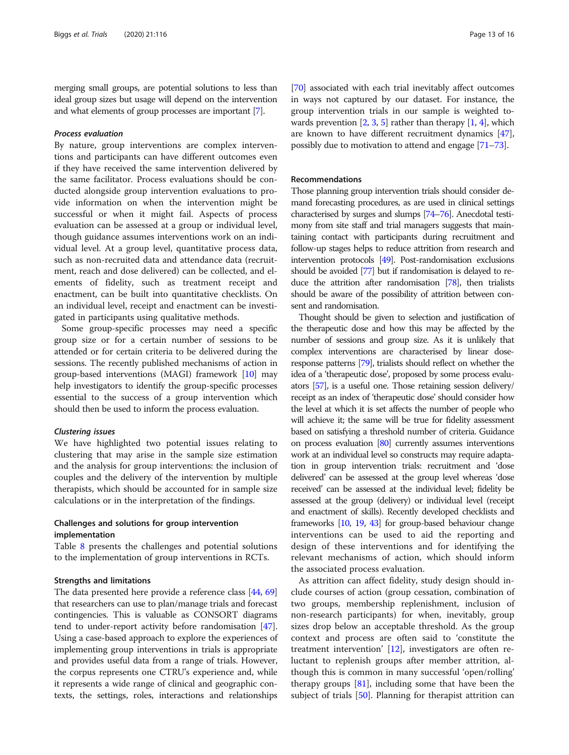merging small groups, are potential solutions to less than ideal group sizes but usage will depend on the intervention and what elements of group processes are important [[7](#page-14-0)].

#### Process evaluation

By nature, group interventions are complex interventions and participants can have different outcomes even if they have received the same intervention delivered by the same facilitator. Process evaluations should be conducted alongside group intervention evaluations to provide information on when the intervention might be successful or when it might fail. Aspects of process evaluation can be assessed at a group or individual level, though guidance assumes interventions work on an individual level. At a group level, quantitative process data, such as non-recruited data and attendance data (recruitment, reach and dose delivered) can be collected, and elements of fidelity, such as treatment receipt and enactment, can be built into quantitative checklists. On an individual level, receipt and enactment can be investigated in participants using qualitative methods.

Some group-specific processes may need a specific group size or for a certain number of sessions to be attended or for certain criteria to be delivered during the sessions. The recently published mechanisms of action in group-based interventions (MAGI) framework [\[10\]](#page-14-0) may help investigators to identify the group-specific processes essential to the success of a group intervention which should then be used to inform the process evaluation.

#### Clustering issues

We have highlighted two potential issues relating to clustering that may arise in the sample size estimation and the analysis for group interventions: the inclusion of couples and the delivery of the intervention by multiple therapists, which should be accounted for in sample size calculations or in the interpretation of the findings.

## Challenges and solutions for group intervention implementation

Table [8](#page-11-0) presents the challenges and potential solutions to the implementation of group interventions in RCTs.

#### Strengths and limitations

The data presented here provide a reference class [\[44,](#page-14-0) [69](#page-15-0)] that researchers can use to plan/manage trials and forecast contingencies. This is valuable as CONSORT diagrams tend to under-report activity before randomisation [[47](#page-14-0)]. Using a case-based approach to explore the experiences of implementing group interventions in trials is appropriate and provides useful data from a range of trials. However, the corpus represents one CTRU's experience and, while it represents a wide range of clinical and geographic contexts, the settings, roles, interactions and relationships

[[70](#page-15-0)] associated with each trial inevitably affect outcomes in ways not captured by our dataset. For instance, the group intervention trials in our sample is weighted towards prevention  $[2, 3, 5]$  $[2, 3, 5]$  $[2, 3, 5]$  $[2, 3, 5]$  $[2, 3, 5]$  $[2, 3, 5]$  $[2, 3, 5]$  rather than therapy  $[1, 4]$  $[1, 4]$  $[1, 4]$ , which are known to have different recruitment dynamics [[47](#page-14-0)], possibly due to motivation to attend and engage [\[71](#page-15-0)–[73](#page-15-0)].

#### Recommendations

Those planning group intervention trials should consider demand forecasting procedures, as are used in clinical settings characterised by surges and slumps [\[74](#page-15-0)–[76\]](#page-15-0). Anecdotal testimony from site staff and trial managers suggests that maintaining contact with participants during recruitment and follow-up stages helps to reduce attrition from research and intervention protocols [\[49](#page-14-0)]. Post-randomisation exclusions should be avoided [\[77](#page-15-0)] but if randomisation is delayed to reduce the attrition after randomisation [\[78](#page-15-0)], then trialists should be aware of the possibility of attrition between consent and randomisation.

Thought should be given to selection and justification of the therapeutic dose and how this may be affected by the number of sessions and group size. As it is unlikely that complex interventions are characterised by linear doseresponse patterns [\[79](#page-15-0)], trialists should reflect on whether the idea of a 'therapeutic dose', proposed by some process evaluators [\[57](#page-15-0)], is a useful one. Those retaining session delivery/ receipt as an index of 'therapeutic dose' should consider how the level at which it is set affects the number of people who will achieve it; the same will be true for fidelity assessment based on satisfying a threshold number of criteria. Guidance on process evaluation [[80\]](#page-15-0) currently assumes interventions work at an individual level so constructs may require adaptation in group intervention trials: recruitment and 'dose delivered' can be assessed at the group level whereas 'dose received' can be assessed at the individual level; fidelity be assessed at the group (delivery) or individual level (receipt and enactment of skills). Recently developed checklists and frameworks [[10,](#page-14-0) [19](#page-14-0), [43](#page-14-0)] for group-based behaviour change interventions can be used to aid the reporting and design of these interventions and for identifying the relevant mechanisms of action, which should inform the associated process evaluation.

As attrition can affect fidelity, study design should include courses of action (group cessation, combination of two groups, membership replenishment, inclusion of non-research participants) for when, inevitably, group sizes drop below an acceptable threshold. As the group context and process are often said to 'constitute the treatment intervention'  $[12]$  $[12]$ , investigators are often reluctant to replenish groups after member attrition, although this is common in many successful 'open/rolling' therapy groups  $[81]$  $[81]$ , including some that have been the subject of trials [\[50\]](#page-14-0). Planning for therapist attrition can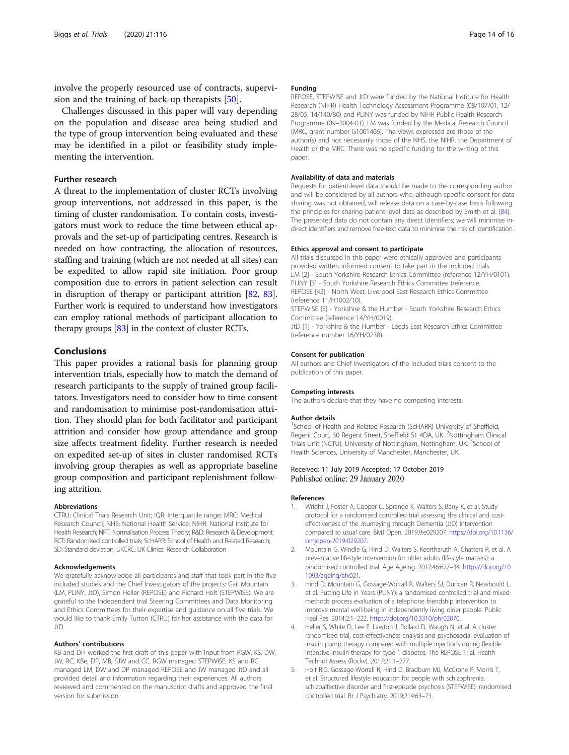<span id="page-13-0"></span>involve the properly resourced use of contracts, supervision and the training of back-up therapists [\[50](#page-14-0)].

Challenges discussed in this paper will vary depending on the population and disease area being studied and the type of group intervention being evaluated and these may be identified in a pilot or feasibility study implementing the intervention.

#### Further research

A threat to the implementation of cluster RCTs involving group interventions, not addressed in this paper, is the timing of cluster randomisation. To contain costs, investigators must work to reduce the time between ethical approvals and the set-up of participating centres. Research is needed on how contracting, the allocation of resources, staffing and training (which are not needed at all sites) can be expedited to allow rapid site initiation. Poor group composition due to errors in patient selection can result in disruption of therapy or participant attrition [[82](#page-15-0), [83](#page-15-0)]. Further work is required to understand how investigators can employ rational methods of participant allocation to therapy groups [\[83\]](#page-15-0) in the context of cluster RCTs.

#### Conclusions

This paper provides a rational basis for planning group intervention trials, especially how to match the demand of research participants to the supply of trained group facilitators. Investigators need to consider how to time consent and randomisation to minimise post-randomisation attrition. They should plan for both facilitator and participant attrition and consider how group attendance and group size affects treatment fidelity. Further research is needed on expedited set-up of sites in cluster randomised RCTs involving group therapies as well as appropriate baseline group composition and participant replenishment following attrition.

#### Abbreviations

CTRU: Clinical Trials Research Unit; IQR: Interquartile range; MRC: Medical Research Council; NHS: National Health Service; NIHR: National Institute for Health Research; NPT: Normalisation Process Theory; R&D: Research & Development; RCT: Randomised controlled trials; ScHARR: School of Health and Related Research; SD: Standard deviation; UKCRC: UK Clinical Research Collaboration

#### Acknowledgements

We gratefully acknowledge all participants and staff that took part in the five included studies and the Chief Investigators of the projects: Gail Mountain (LM, PLINY, JtD), Simon Heller (REPOSE) and Richard Holt (STEPWISE). We are grateful to the Independent trial Steering Committees and Data Monitoring and Ethics Committees for their expertise and guidance on all five trials. We would like to thank Emily Turton (CTRU) for her assistance with the data for JtD.

#### Authors' contributions

KB and DH worked the first draft of this paper with input from RGW, KS, DW, JW, RC, KBe, DP, MB, SJW and CC. RGW managed STEPWISE, KS and RC managed LM, DW and DP managed REPOSE and JW managed JtD and all provided detail and information regarding their experiences. All authors reviewed and commented on the manuscript drafts and approved the final version for submission.

#### Funding

REPOSE, STEPWISE and JtD were funded by the National Institute for Health Research (NIHR) Health Technology Assessment Programme (08/107/01, 12/ 28/05, 14/140/80) and PLINY was funded by NIHR Public Health Research Programme (09–3004-01). LM was funded by the Medical Research Council (MRC, grant number G1001406). The views expressed are those of the author(s) and not necessarily those of the NHS, the NIHR, the Department of Health or the MRC. There was no specific funding for the writing of this paper.

#### Availability of data and materials

Requests for patient-level data should be made to the corresponding author and will be considered by all authors who, although specific consent for data sharing was not obtained, will release data on a case-by-case basis following the principles for sharing patient-level data as described by Smith et al. [\[84](#page-15-0)]. The presented data do not contain any direct identifiers; we will minimise indirect identifiers and remove free-text data to minimise the risk of identification.

#### Ethics approval and consent to participate

All trials discussed in this paper were ethically approved and participants provided written informed consent to take part in the included trials. LM [2] - South Yorkshire Research Ethics Committee (reference 12/YH/0101). PLINY [3] - South Yorkshire Research Ethics Committee (reference. REPOSE [42] - North West, Liverpool East Research Ethics Committee (reference 11/H1002/10).

STEPWISE [5] - Yorkshire & the Humber - South Yorkshire Research Ethics Committee (reference 14/YH/0019).

JtD [1] - Yorkshire & the Humber - Leeds East Research Ethics Committee (reference number 16/YH/0238).

#### Consent for publication

All authors and Chief Investigators of the included trials consent to the publication of this paper.

#### Competing interests

The authors declare that they have no competing interests.

#### Author details

<sup>1</sup>School of Health and Related Research (ScHARR) University of Sheffield, Regent Court, 30 Regent Street, Sheffield S1 4DA, UK. <sup>2</sup>Nottingham Clinical Trials Unit (NCTU), University of Nottingham, Nottingham, UK.<sup>3</sup>School of Health Sciences, University of Manchester, Manchester, UK.

#### Received: 11 July 2019 Accepted: 17 October 2019 Published online: 29 January 2020

#### References

- 1. Wright J, Foster A, Cooper C, Sprange K, Walters S, Berry K, et al. Study protocol for a randomised controlled trial assessing the clinical and costeffectiveness of the Journeying through Dementia (JtD) intervention compared to usual care. BMJ Open. 2019;9:e029207. [https://doi.org/10.1136/](https://doi.org/10.1136/bmjopen-2019-029207) [bmjopen-2019-029207.](https://doi.org/10.1136/bmjopen-2019-029207)
- 2. Mountain G, Windle G, Hind D, Walters S, Keertharuth A, Chatters R, et al. A preventative lifestyle intervention for older adults (lifestyle matters): a randomised controlled trial. Age Ageing. 2017;46:627–34. [https://doi.org/10.](https://doi.org/10.1093/ageing/afx021) [1093/ageing/afx021](https://doi.org/10.1093/ageing/afx021).
- 3. Hind D, Mountain G, Gossage-Worrall R, Walters SJ, Duncan R, Newbould L, et al. Putting Life in Years (PLINY): a randomised controlled trial and mixedmethods process evaluation of a telephone friendship intervention to improve mental well-being in independently living older people. Public Heal Res. 2014;2:1–222. <https://doi.org/10.3310/phr02070>.
- 4. Heller S, White D, Lee E, Lawton J, Pollard D, Waugh N, et al. A cluster randomised trial, cost-effectiveness analysis and psychosocial evaluation of insulin pump therapy compared with multiple injections during flexible intensive insulin therapy for type 1 diabetes: The REPOSE Trial. Health Technol Assess (Rockv). 2017;21:1–277.
- 5. Holt RIG, Gossage-Worrall R, Hind D, Bradburn MJ, McCrone P, Morris T, et al. Structured lifestyle education for people with schizophrenia, schizoaffective disorder and first-episode psychosis (STEPWISE): randomised controlled trial. Br J Psychiatry. 2019;214:63–73.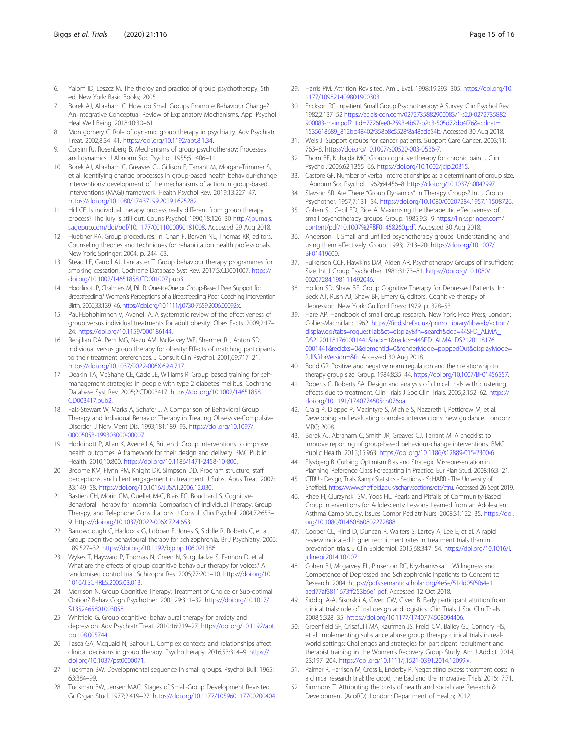- <span id="page-14-0"></span>6. Yalom ID, Leszcz M. The theroy and practice of group psychotherapy. 5th ed. New York: Basic Books; 2005.
- 7. Borek AJ, Abraham C. How do Small Groups Promote Behaviour Change? An Integrative Conceptual Review of Explanatory Mechanisms. Appl Psychol Heal Well Being. 2018;10:30–61.
- 8. Montgomery C. Role of dynamic group therapy in psychiatry. Adv Psychiatr Treat. 2002;8:34–41. [https://doi.org/10.1192/apt.8.1.34.](https://doi.org/10.1192/apt.8.1.34)
- 9. Corsini RJ, Rosenberg B. Mechanisms of group psychotherapy: Processes and dynamics. J Abnorm Soc Psychol. 1955;51:406–11.
- 10. Borek AJ, Abraham C, Greaves CJ, Gillison F, Tarrant M, Morgan-Trimmer S, et al. Identifying change processes in group-based health behaviour-change interventions: development of the mechanisms of action in group-based interventions (MAGI) framework. Health Psychol Rev. 2019;13:227–47. <https://doi.org/10.1080/17437199.2019.1625282>.
- 11. Hill CE. Is individual therapy process really different from group therapy process? The jury is still out. Couns Psychol. 1990;18:126–30 [http://journals.](http://journals.sagepub.com/doi/pdf/10.1177/0011000090181008) [sagepub.com/doi/pdf/10.1177/0011000090181008.](http://journals.sagepub.com/doi/pdf/10.1177/0011000090181008) Accessed 29 Aug 2018.
- 12. Huebner RA, Group procedures. In: Chan F, Berven NL, Thomas KR, editors. Counseling theories and techniques for rehabilitation health professionals. New York: Springer; 2004. p. 244–63.
- 13. Stead LF, Carroll AJ, Lancaster T. Group behaviour therapy programmes for smoking cessation. Cochrane Database Syst Rev. 2017;3:CD001007. [https://](https://doi.org/10.1002/14651858.CD001007.pub3) [doi.org/10.1002/14651858.CD001007.pub3.](https://doi.org/10.1002/14651858.CD001007.pub3)
- 14. Hoddinott P, Chalmers M, Pill R. One-to-One or Group-Based Peer Support for Breastfeeding? Women's Perceptions of a Breastfeeding Peer Coaching Intervention. Birth. 2006;33:139–46. <https://doi.org/10.1111/j.0730-7659.2006.00092.x>.
- 15. Paul-Ebhohimhen V, Avenell A. A systematic review of the effectiveness of group versus individual treatments for adult obesity. Obes Facts. 2009;2:17– 24. [https://doi.org/10.1159/000186144.](https://doi.org/10.1159/000186144)
- 16. Renjilian DA, Perri MG, Nezu AM, McKelvey WF, Shermer RL, Anton SD. Individual versus group therapy for obesity: Effects of matching participants to their treatment preferences. J Consult Clin Psychol. 2001;69:717–21. [https://doi.org/10.1037/0022-006X.69.4.717.](https://doi.org/10.1037/0022-006X.69.4.717)
- 17. Deakin TA, McShane CE, Cade JE, Williams R. Group based training for selfmanagement strategies in people with type 2 diabetes mellitus. Cochrane Database Syst Rev. 2005;2:CD003417. [https://doi.org/10.1002/14651858.](https://doi.org/10.1002/14651858.CD003417.pub2) [CD003417.pub2.](https://doi.org/10.1002/14651858.CD003417.pub2)
- 18. Fals-Stewart W, Marks A, Schafer J. A Comparison of Behavioral Group Therapy and Individual Behavior Therapy in Treating Obsessive-Compulsive Disorder. J Nerv Ment Dis. 1993;181:189–93. [https://doi.org/10.1097/](https://doi.org/10.1097/00005053-199303000-00007) [00005053-199303000-00007.](https://doi.org/10.1097/00005053-199303000-00007)
- 19. Hoddinott P, Allan K, Avenell A, Britten J. Group interventions to improve health outcomes: A framework for their design and delivery. BMC Public Health. 2010;10:800. [https://doi.org/10.1186/1471-2458-10-800.](https://doi.org/10.1186/1471-2458-10-800)
- 20. Broome KM, Flynn PM, Knight DK, Simpson DD. Program structure, staff perceptions, and client engagement in treatment. J Subst Abus Treat. 2007; 33:149–58. [https://doi.org/10.1016/J.JSAT.2006.12.030.](https://doi.org/10.1016/J.JSAT.2006.12.030)
- 21. Bastien CH, Morin CM, Ouellet M-C, Blais FC, Bouchard S. Cognitive-Behavioral Therapy for Insomnia: Comparison of Individual Therapy, Group Therapy, and Telephone Consultations. J Consult Clin Psychol. 2004;72:653– 9. [https://doi.org/10.1037/0022-006X.72.4.653.](https://doi.org/10.1037/0022-006X.72.4.653)
- 22. Barrowclough C, Haddock G, Lobban F, Jones S, Siddle R, Roberts C, et al. Group cognitive-behavioural therapy for schizophrenia. Br J Psychiatry. 2006; 189:527–32. <https://doi.org/10.1192/bjp.bp.106.021386>.
- 23. Wykes T, Hayward P, Thomas N, Green N, Surguladze S, Fannon D, et al. What are the effects of group cognitive behaviour therapy for voices? A randomised control trial. Schizophr Res. 2005;77:201–10. [https://doi.org/10.](https://doi.org/10.1016/J.SCHRES.2005.03.013) [1016/J.SCHRES.2005.03.013.](https://doi.org/10.1016/J.SCHRES.2005.03.013)
- 24. Morrison N. Group Cognitive Therapy: Treatment of Choice or Sub-optimal Option? Behav Cogn Psychother. 2001;29:311–32. [https://doi.org/10.1017/](https://doi.org/10.1017/S1352465801003058) [S1352465801003058.](https://doi.org/10.1017/S1352465801003058)
- 25. Whitfield G. Group cognitive–behavioural therapy for anxiety and depression. Adv Psychiatr Treat. 2010;16:219–27. [https://doi.org/10.1192/apt.](https://doi.org/10.1192/apt.bp.108.005744) [bp.108.005744](https://doi.org/10.1192/apt.bp.108.005744).
- 26. Tasca GA, Mcquaid N, Balfour L. Complex contexts and relationships affect clinical decisions in group therapy. Psychotherapy. 2016;53:314–9. [https://](https://doi.org/10.1037/pst0000071) [doi.org/10.1037/pst0000071.](https://doi.org/10.1037/pst0000071)
- 27. Tuckman BW. Developmental sequence in small groups. Psychol Bull. 1965; 63:384–99.
- 28. Tuckman BW, Jensen MAC. Stages of Small-Group Development Revisited. Gr Organ Stud. 1977;2:419–27. <https://doi.org/10.1177/105960117700200404>.
- 29. Harris PM. Attrition Revisited. Am J Eval. 1998;19:293–305. [https://doi.org/10.](https://doi.org/10.1177/109821409801900303) [1177/109821409801900303](https://doi.org/10.1177/109821409801900303).
- 30. Erickson RC. Inpatient Small Group Psychotherapy: A Survey. Clin Psychol Rev. 1982;2:137–52 [https://ac.els-cdn.com/0272735882900083/1-s2.0-0272735882](https://ac.els-cdn.com/0272735882900083/1-s2.0-0272735882900083-main.pdf?_tid=7726fee0-2593-4b97-b2c3-505d72db4f76&acdnat=1535618689_812bb48402f358b8c5528f8a48adc54b) [900083-main.pdf?\\_tid=7726fee0-2593-4b97-b2c3-505d72db4f76&acdnat=](https://ac.els-cdn.com/0272735882900083/1-s2.0-0272735882900083-main.pdf?_tid=7726fee0-2593-4b97-b2c3-505d72db4f76&acdnat=1535618689_812bb48402f358b8c5528f8a48adc54b) [1535618689\\_812bb48402f358b8c5528f8a48adc54b.](https://ac.els-cdn.com/0272735882900083/1-s2.0-0272735882900083-main.pdf?_tid=7726fee0-2593-4b97-b2c3-505d72db4f76&acdnat=1535618689_812bb48402f358b8c5528f8a48adc54b) Accessed 30 Aug 2018.
- 31. Weis J. Support groups for cancer patients. Support Care Cancer. 2003;11: 763–8. [https://doi.org/10.1007/s00520-003-0536-7.](https://doi.org/10.1007/s00520-003-0536-7)
- 32. Thorn BE, Kuhajda MC. Group cognitive therapy for chronic pain. J Clin Psychol. 2006;62:1355–66. <https://doi.org/10.1002/jclp.20315>.
- 33. Castore GF. Number of verbal interrelationships as a determinant of group size. J Abnorm Soc Psychol. 1962;64:456–8. <https://doi.org/10.1037/h0042997>.
- 34. Slavson SR. Are There "Group Dynamics" in Therapy Groups? Int J Group Psychother. 1957;7:131–54. [https://doi.org/10.1080/00207284.1957.11508726.](https://doi.org/10.1080/00207284.1957.11508726)
- 35. Cohen SL, Cecil ED, Rice A. Maximising the therapeutic effectiveness of small psychotherapy groups. Group. 1985;9:3–9 [https://link.springer.com/](https://link.springer.com/content/pdf/10.1007/BF01458260.pdf) [content/pdf/10.1007%2FBF01458260.pdf.](https://link.springer.com/content/pdf/10.1007/BF01458260.pdf) Accessed 30 Aug 2018.
- 36. Anderson TI. Small and unfilled psychotherapy groups: Understanding and using them effectively. Group. 1993;17:13–20. [https://doi.org/10.1007/](https://doi.org/10.1007/BF01419600) [BF01419600.](https://doi.org/10.1007/BF01419600)
- 37. Fulkerson CCF, Hawkins DM, Alden AR. Psychotherapy Groups of Insufficient Size. Int J Group Psychother. 1981;31:73–81. [https://doi.org/10.1080/](https://doi.org/10.1080/00207284.1981.11492046) [00207284.1981.11492046](https://doi.org/10.1080/00207284.1981.11492046).
- 38. Hollon SD, Shaw BF. Group Cognitive Therapy for Depressed Patients. In: Beck AT, Rush AJ, Shaw BF, Emery G, editors. Cognitive therapy of depression. New York: Guilford Press; 1979. p. 328–53.
- 39. Hare AP. Handbook of small group research. New York: Free Press; London: Collier-Macmillan; 1962. [https://find.shef.ac.uk/primo\\_library/libweb/action/](https://find.shef.ac.uk/primo_library/libweb/action/display.do?tabs=requestTab&ct=display&fn=search&doc=44SFD_ALMA_DS21201181760001441&indx=1&recIds=44SFD_ALMA_DS21201181760001441&recIdxs=0&elementId=0&renderMode=poppedOut&displayMode=full&frbrVersion=&fr) [display.do?tabs=requestTab&ct=display&fn=search&doc=44SFD\\_ALMA\\_](https://find.shef.ac.uk/primo_library/libweb/action/display.do?tabs=requestTab&ct=display&fn=search&doc=44SFD_ALMA_DS21201181760001441&indx=1&recIds=44SFD_ALMA_DS21201181760001441&recIdxs=0&elementId=0&renderMode=poppedOut&displayMode=full&frbrVersion=&fr) [DS21201181760001441&indx=1&recIds=44SFD\\_ALMA\\_DS2120118176](https://find.shef.ac.uk/primo_library/libweb/action/display.do?tabs=requestTab&ct=display&fn=search&doc=44SFD_ALMA_DS21201181760001441&indx=1&recIds=44SFD_ALMA_DS21201181760001441&recIdxs=0&elementId=0&renderMode=poppedOut&displayMode=full&frbrVersion=&fr) [0001441&recIdxs=0&elementId=0&renderMode=poppedOut&displayMode=](https://find.shef.ac.uk/primo_library/libweb/action/display.do?tabs=requestTab&ct=display&fn=search&doc=44SFD_ALMA_DS21201181760001441&indx=1&recIds=44SFD_ALMA_DS21201181760001441&recIdxs=0&elementId=0&renderMode=poppedOut&displayMode=full&frbrVersion=&fr) [full&frbrVersion=&fr.](https://find.shef.ac.uk/primo_library/libweb/action/display.do?tabs=requestTab&ct=display&fn=search&doc=44SFD_ALMA_DS21201181760001441&indx=1&recIds=44SFD_ALMA_DS21201181760001441&recIdxs=0&elementId=0&renderMode=poppedOut&displayMode=full&frbrVersion=&fr) Accessed 30 Aug 2018.
- 40. Bond GR. Positive and negative norm regulation and their relationship to therapy group size. Group. 1984;8:35–44. [https://doi.org/10.1007/BF01456557.](https://doi.org/10.1007/BF01456557)
- 41. Roberts C, Roberts SA. Design and analysis of clinical trials with clustering effects due to treatment. Clin Trials J Soc Clin Trials. 2005;2:152-62. [https://](https://doi.org/10.1191/1740774505cn076oa) [doi.org/10.1191/1740774505cn076oa.](https://doi.org/10.1191/1740774505cn076oa)
- 42. Craig P, Dieppe P, Macintyre S, Michie S, Nazareth I, Petticrew M, et al. Developing and evaluating complex interventions: new guidance. London: MRC; 2008.
- 43. Borek AJ, Abraham C, Smith JR, Greaves CJ, Tarrant M. A checklist to improve reporting of group-based behaviour-change interventions. BMC Public Health. 2015;15:963. [https://doi.org/10.1186/s12889-015-2300-6.](https://doi.org/10.1186/s12889-015-2300-6)
- 44. Flyvbjerg B. Curbing Optimism Bias and Strategic Misrepresentation in Planning: Reference Class Forecasting in Practice. Eur Plan Stud. 2008;16:3–21.
- 45. CTRU Design, Trials & amp; Statistics Sections ScHARR The University of Sheffield. <https://www.sheffield.ac.uk/scharr/sections/dts/ctru>. Accessed 26 Sept 2019.
- 46. Rhee H, Ciurzynski SM, Yoos HL. Pearls and Pitfalls of Community-Based Group Interventions for Adolescents: Lessons Learned from an Adolescent Asthma Camp Study. Issues Compr Pediatr Nurs. 2008;31:122–35. [https://doi.](https://doi.org/10.1080/01460860802272888) [org/10.1080/01460860802272888](https://doi.org/10.1080/01460860802272888).
- 47. Cooper CL, Hind D, Duncan R, Walters S, Lartey A, Lee E, et al. A rapid review indicated higher recruitment rates in treatment trials than in prevention trials. J Clin Epidemiol. 2015;68:347–54. [https://doi.org/10.1016/j.](https://doi.org/10.1016/j.jclinepi.2014.10.007) [jclinepi.2014.10.007](https://doi.org/10.1016/j.jclinepi.2014.10.007).
- 48. Cohen BJ, Mcgarvey EL, Pinkerton RC, Kryzhanivska L. Willingness and Competence of Depressed and Schizophrenic Inpatients to Consent to Research. 2004. [https://pdfs.semanticscholar.org/4e5e/51dd05f5f64e1](https://pdfs.semanticscholar.org/4e5e/51dd05f5f64e1aed77af3811673ff253b6e1.pdf) [aed77af3811673ff253b6e1.pdf.](https://pdfs.semanticscholar.org/4e5e/51dd05f5f64e1aed77af3811673ff253b6e1.pdf) Accessed 12 Oct 2018.
- 49. Siddiqi A-A, Sikorskii A, Given CW, Given B. Early participant attrition from clinical trials: role of trial design and logistics. Clin Trials J Soc Clin Trials. 2008;5:328–35. [https://doi.org/10.1177/1740774508094406.](https://doi.org/10.1177/1740774508094406)
- 50. Greenfield SF, Crisafulli MA, Kaufman JS, Freid CM, Bailey GL, Connery HS, et al. Implementing substance abuse group therapy clinical trials in realworld settings: Challenges and strategies for participant recruitment and therapist training in the Women's Recovery Group Study. Am J Addict. 2014; 23:197–204. [https://doi.org/10.1111/j.1521-0391.2014.12099.x.](https://doi.org/10.1111/j.1521-0391.2014.12099.x)
- 51. Palmer R, Harrison M, Cross E, Enderby P. Negotiating excess treatment costs in a clinical research trial: the good, the bad and the innovative. Trials. 2016;17:71.
- 52. Simmons T. Attributing the costs of health and social care Research & Development (AcoRD). London: Department of Health; 2012.